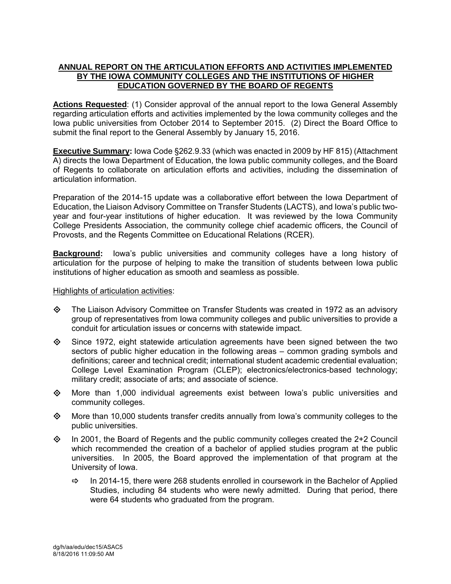# **ANNUAL REPORT ON THE ARTICULATION EFFORTS AND ACTIVITIES IMPLEMENTED BY THE IOWA COMMUNITY COLLEGES AND THE INSTITUTIONS OF HIGHER EDUCATION GOVERNED BY THE BOARD OF REGENTS**

Actions Requested: (1) Consider approval of the annual report to the Iowa General Assembly regarding articulation efforts and activities implemented by the Iowa community colleges and the Iowa public universities from October 2014 to September 2015. (2) Direct the Board Office to submit the final report to the General Assembly by January 15, 2016.

**Executive Summary:** Iowa Code §262.9.33 (which was enacted in 2009 by HF 815) (Attachment A) directs the Iowa Department of Education, the Iowa public community colleges, and the Board of Regents to collaborate on articulation efforts and activities, including the dissemination of articulation information.

Preparation of the 2014-15 update was a collaborative effort between the Iowa Department of Education, the Liaison Advisory Committee on Transfer Students (LACTS), and Iowa's public twoyear and four-year institutions of higher education. It was reviewed by the Iowa Community College Presidents Association, the community college chief academic officers, the Council of Provosts, and the Regents Committee on Educational Relations (RCER).

**Background:** lowa's public universities and community colleges have a long history of articulation for the purpose of helping to make the transition of students between Iowa public institutions of higher education as smooth and seamless as possible.

# Highlights of articulation activities:

- $\diamond$  The Liaison Advisory Committee on Transfer Students was created in 1972 as an advisory group of representatives from Iowa community colleges and public universities to provide a conduit for articulation issues or concerns with statewide impact.
- $\diamond$  Since 1972, eight statewide articulation agreements have been signed between the two sectors of public higher education in the following areas – common grading symbols and definitions; career and technical credit; international student academic credential evaluation; College Level Examination Program (CLEP); electronics/electronics-based technology; military credit; associate of arts; and associate of science.
- $\diamond$  More than 1,000 individual agreements exist between lowa's public universities and community colleges.
- $\diamond$  More than 10,000 students transfer credits annually from lowa's community colleges to the public universities.
- $\diamond$  In 2001, the Board of Regents and the public community colleges created the 2+2 Council which recommended the creation of a bachelor of applied studies program at the public universities. In 2005, the Board approved the implementation of that program at the University of Iowa.
	- $\Rightarrow$  In 2014-15, there were 268 students enrolled in coursework in the Bachelor of Applied Studies, including 84 students who were newly admitted. During that period, there were 64 students who graduated from the program.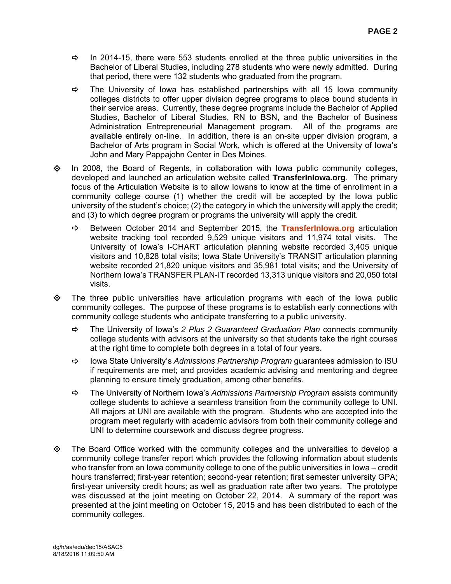- $\Rightarrow$  In 2014-15, there were 553 students enrolled at the three public universities in the Bachelor of Liberal Studies, including 278 students who were newly admitted. During that period, there were 132 students who graduated from the program.
- $\Rightarrow$  The University of Iowa has established partnerships with all 15 Iowa community colleges districts to offer upper division degree programs to place bound students in their service areas. Currently, these degree programs include the Bachelor of Applied Studies, Bachelor of Liberal Studies, RN to BSN, and the Bachelor of Business Administration Entrepreneurial Management program. All of the programs are available entirely on-line. In addition, there is an on-site upper division program, a Bachelor of Arts program in Social Work, which is offered at the University of Iowa's John and Mary Pappajohn Center in Des Moines.
- $\Diamond$  In 2008, the Board of Regents, in collaboration with Iowa public community colleges, developed and launched an articulation website called **TransferInIowa.org**. The primary focus of the Articulation Website is to allow Iowans to know at the time of enrollment in a community college course (1) whether the credit will be accepted by the Iowa public university of the student's choice; (2) the category in which the university will apply the credit; and (3) to which degree program or programs the university will apply the credit.
	- $\Rightarrow$  Between October 2014 and September 2015, the **TransferInIowa.org** articulation website tracking tool recorded 9,529 unique visitors and 11,974 total visits. The University of Iowa's I-CHART articulation planning website recorded 3,405 unique visitors and 10,828 total visits; Iowa State University's TRANSIT articulation planning website recorded 21,820 unique visitors and 35,981 total visits; and the University of Northern Iowa's TRANSFER PLAN-IT recorded 13,313 unique visitors and 20,050 total visits.
- $\diamond$  The three public universities have articulation programs with each of the lowa public community colleges. The purpose of these programs is to establish early connections with community college students who anticipate transferring to a public university.
	- The University of Iowa's *2 Plus 2 Guaranteed Graduation Plan* connects community college students with advisors at the university so that students take the right courses at the right time to complete both degrees in a total of four years.
	- Iowa State University's *Admissions Partnership Program* guarantees admission to ISU if requirements are met; and provides academic advising and mentoring and degree planning to ensure timely graduation, among other benefits.
	- The University of Northern Iowa's *Admissions Partnership Program* assists community college students to achieve a seamless transition from the community college to UNI. All majors at UNI are available with the program. Students who are accepted into the program meet regularly with academic advisors from both their community college and UNI to determine coursework and discuss degree progress.
- $\diamond$  The Board Office worked with the community colleges and the universities to develop a community college transfer report which provides the following information about students who transfer from an Iowa community college to one of the public universities in Iowa – credit hours transferred; first-year retention; second-year retention; first semester university GPA; first-year university credit hours; as well as graduation rate after two years. The prototype was discussed at the joint meeting on October 22, 2014. A summary of the report was presented at the joint meeting on October 15, 2015 and has been distributed to each of the community colleges.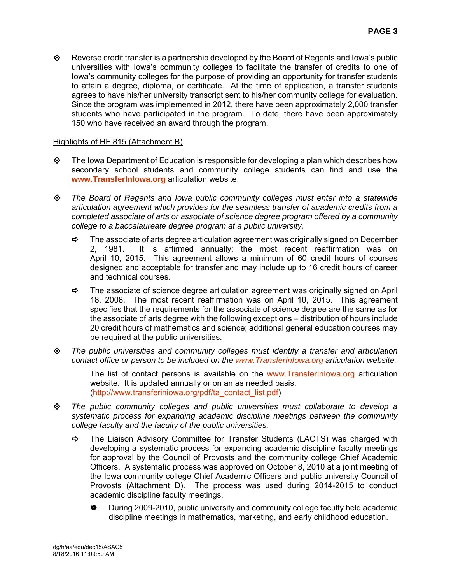$\diamond$  Reverse credit transfer is a partnership developed by the Board of Regents and Iowa's public universities with Iowa's community colleges to facilitate the transfer of credits to one of Iowa's community colleges for the purpose of providing an opportunity for transfer students to attain a degree, diploma, or certificate. At the time of application, a transfer students agrees to have his/her university transcript sent to his/her community college for evaluation. Since the program was implemented in 2012, there have been approximately 2,000 transfer students who have participated in the program. To date, there have been approximately 150 who have received an award through the program.

# Highlights of HF 815 (Attachment B)

- $\diamond$  The Iowa Department of Education is responsible for developing a plan which describes how secondary school students and community college students can find and use the **www.TransferInIowa.org** articulation website.
- *The Board of Regents and Iowa public community colleges must enter into a statewide articulation agreement which provides for the seamless transfer of academic credits from a completed associate of arts or associate of science degree program offered by a community college to a baccalaureate degree program at a public university.* 
	- $\Rightarrow$  The associate of arts degree articulation agreement was originally signed on December 2, 1981. It is affirmed annually; the most recent reaffirmation was on April 10, 2015. This agreement allows a minimum of 60 credit hours of courses designed and acceptable for transfer and may include up to 16 credit hours of career and technical courses.
	- $\Rightarrow$  The associate of science degree articulation agreement was originally signed on April 18, 2008. The most recent reaffirmation was on April 10, 2015. This agreement specifies that the requirements for the associate of science degree are the same as for the associate of arts degree with the following exceptions – distribution of hours include 20 credit hours of mathematics and science; additional general education courses may be required at the public universities.
- *The public universities and community colleges must identify a transfer and articulation contact office or person to be included on the www.TransferInIowa.org articulation website.*

The list of contact persons is available on the www.TransferInIowa.org articulation website. It is updated annually or on an as needed basis. (http://www.transferiniowa.org/pdf/ta\_contact\_list.pdf)

- *The public community colleges and public universities must collaborate to develop a systematic process for expanding academic discipline meetings between the community college faculty and the faculty of the public universities.* 
	- $\Rightarrow$  The Liaison Advisory Committee for Transfer Students (LACTS) was charged with developing a systematic process for expanding academic discipline faculty meetings for approval by the Council of Provosts and the community college Chief Academic Officers. A systematic process was approved on October 8, 2010 at a joint meeting of the Iowa community college Chief Academic Officers and public university Council of Provosts (Attachment D). The process was used during 2014-2015 to conduct academic discipline faculty meetings.
		- During 2009-2010, public university and community college faculty held academic discipline meetings in mathematics, marketing, and early childhood education.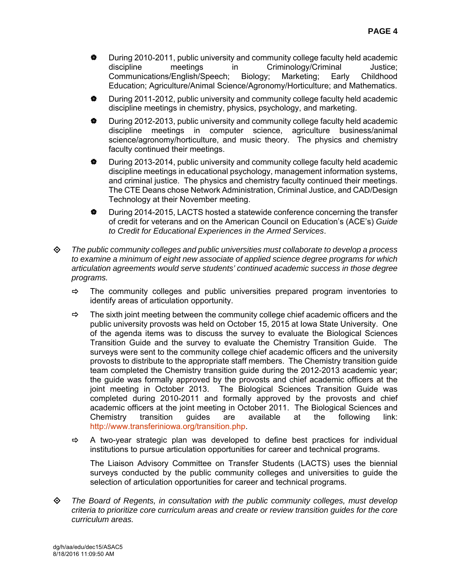- During 2010-2011, public university and community college faculty held academic discipline meetings in Criminology/Criminal Justice; Communications/English/Speech; Biology; Marketing; Early Childhood Education; Agriculture/Animal Science/Agronomy/Horticulture; and Mathematics.
- During 2011-2012, public university and community college faculty held academic discipline meetings in chemistry, physics, psychology, and marketing.
- During 2012-2013, public university and community college faculty held academic discipline meetings in computer science, agriculture business/animal science/agronomy/horticulture, and music theory. The physics and chemistry faculty continued their meetings.
- $\bullet$  During 2013-2014, public university and community college faculty held academic discipline meetings in educational psychology, management information systems, and criminal justice. The physics and chemistry faculty continued their meetings. The CTE Deans chose Network Administration, Criminal Justice, and CAD/Design Technology at their November meeting.
- $\bullet$  During 2014-2015, LACTS hosted a statewide conference concerning the transfer of credit for veterans and on the American Council on Education's (ACE's) *Guide to Credit for Educational Experiences in the Armed Services*.
- *The public community colleges and public universities must collaborate to develop a process to examine a minimum of eight new associate of applied science degree programs for which articulation agreements would serve students' continued academic success in those degree programs.* 
	- $\Rightarrow$  The community colleges and public universities prepared program inventories to identify areas of articulation opportunity.
	- $\Rightarrow$  The sixth joint meeting between the community college chief academic officers and the public university provosts was held on October 15, 2015 at Iowa State University. One of the agenda items was to discuss the survey to evaluate the Biological Sciences Transition Guide and the survey to evaluate the Chemistry Transition Guide. The surveys were sent to the community college chief academic officers and the university provosts to distribute to the appropriate staff members. The Chemistry transition guide team completed the Chemistry transition guide during the 2012-2013 academic year; the guide was formally approved by the provosts and chief academic officers at the joint meeting in October 2013. The Biological Sciences Transition Guide was completed during 2010-2011 and formally approved by the provosts and chief academic officers at the joint meeting in October 2011. The Biological Sciences and Chemistry transition guides are available at the following link: http://www.transferiniowa.org/transition.php.
	- $\Rightarrow$  A two-year strategic plan was developed to define best practices for individual institutions to pursue articulation opportunities for career and technical programs.

The Liaison Advisory Committee on Transfer Students (LACTS) uses the biennial surveys conducted by the public community colleges and universities to guide the selection of articulation opportunities for career and technical programs.

 *The Board of Regents, in consultation with the public community colleges, must develop criteria to prioritize core curriculum areas and create or review transition guides for the core curriculum areas.*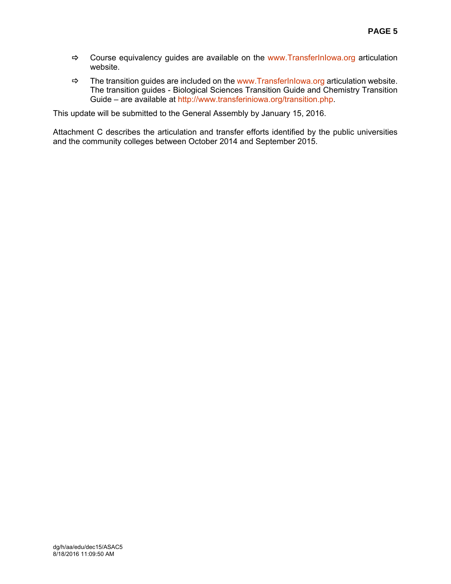- $\Rightarrow$  Course equivalency guides are available on the www.TransferInlowa.org articulation website.
- $\Rightarrow$  The transition guides are included on the www.TransferInlowa.org articulation website. The transition guides - Biological Sciences Transition Guide and Chemistry Transition Guide – are available at http://www.transferiniowa.org/transition.php.

This update will be submitted to the General Assembly by January 15, 2016.

Attachment C describes the articulation and transfer efforts identified by the public universities and the community colleges between October 2014 and September 2015.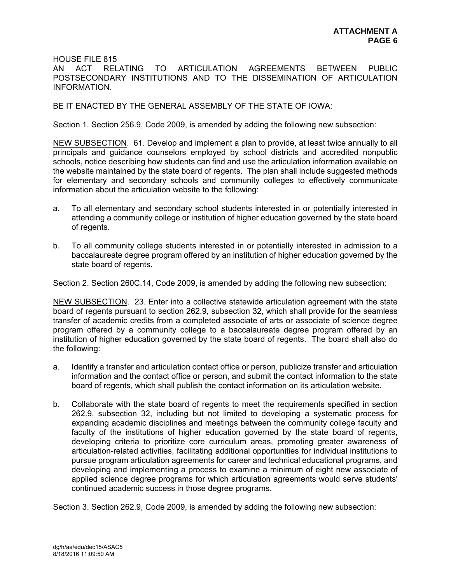HOUSE FILE 815

AN ACT RELATING TO ARTICULATION AGREEMENTS BETWEEN PUBLIC POSTSECONDARY INSTITUTIONS AND TO THE DISSEMINATION OF ARTICULATION INFORMATION.

BE IT ENACTED BY THE GENERAL ASSEMBLY OF THE STATE OF IOWA:

Section 1. Section 256.9, Code 2009, is amended by adding the following new subsection:

NEW SUBSECTION. 61. Develop and implement a plan to provide, at least twice annually to all principals and guidance counselors employed by school districts and accredited nonpublic schools, notice describing how students can find and use the articulation information available on the website maintained by the state board of regents. The plan shall include suggested methods for elementary and secondary schools and community colleges to effectively communicate information about the articulation website to the following:

- a. To all elementary and secondary school students interested in or potentially interested in attending a community college or institution of higher education governed by the state board of regents.
- b. To all community college students interested in or potentially interested in admission to a baccalaureate degree program offered by an institution of higher education governed by the state board of regents.

Section 2. Section 260C.14, Code 2009, is amended by adding the following new subsection:

NEW SUBSECTION. 23. Enter into a collective statewide articulation agreement with the state board of regents pursuant to section 262.9, subsection 32, which shall provide for the seamless transfer of academic credits from a completed associate of arts or associate of science degree program offered by a community college to a baccalaureate degree program offered by an institution of higher education governed by the state board of regents. The board shall also do the following:

- a. Identify a transfer and articulation contact office or person, publicize transfer and articulation information and the contact office or person, and submit the contact information to the state board of regents, which shall publish the contact information on its articulation website.
- b. Collaborate with the state board of regents to meet the requirements specified in section 262.9, subsection 32, including but not limited to developing a systematic process for expanding academic disciplines and meetings between the community college faculty and faculty of the institutions of higher education governed by the state board of regents, developing criteria to prioritize core curriculum areas, promoting greater awareness of articulation-related activities, facilitating additional opportunities for individual institutions to pursue program articulation agreements for career and technical educational programs, and developing and implementing a process to examine a minimum of eight new associate of applied science degree programs for which articulation agreements would serve students' continued academic success in those degree programs.

Section 3. Section 262.9, Code 2009, is amended by adding the following new subsection: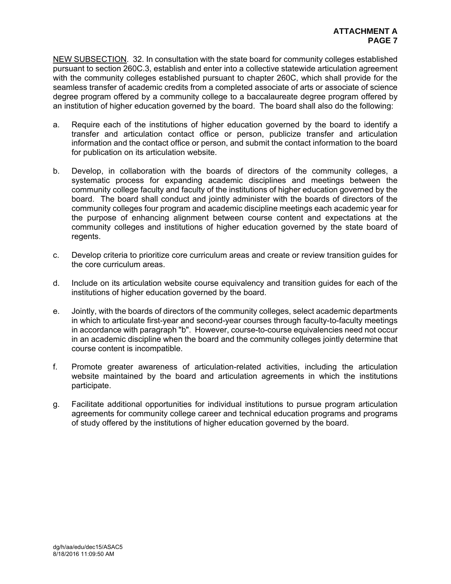NEW SUBSECTION. 32. In consultation with the state board for community colleges established pursuant to section 260C.3, establish and enter into a collective statewide articulation agreement with the community colleges established pursuant to chapter 260C, which shall provide for the seamless transfer of academic credits from a completed associate of arts or associate of science degree program offered by a community college to a baccalaureate degree program offered by an institution of higher education governed by the board. The board shall also do the following:

- a. Require each of the institutions of higher education governed by the board to identify a transfer and articulation contact office or person, publicize transfer and articulation information and the contact office or person, and submit the contact information to the board for publication on its articulation website.
- b. Develop, in collaboration with the boards of directors of the community colleges, a systematic process for expanding academic disciplines and meetings between the community college faculty and faculty of the institutions of higher education governed by the board. The board shall conduct and jointly administer with the boards of directors of the community colleges four program and academic discipline meetings each academic year for the purpose of enhancing alignment between course content and expectations at the community colleges and institutions of higher education governed by the state board of regents.
- c. Develop criteria to prioritize core curriculum areas and create or review transition guides for the core curriculum areas.
- d. Include on its articulation website course equivalency and transition guides for each of the institutions of higher education governed by the board.
- e. Jointly, with the boards of directors of the community colleges, select academic departments in which to articulate first-year and second-year courses through faculty-to-faculty meetings in accordance with paragraph "b". However, course-to-course equivalencies need not occur in an academic discipline when the board and the community colleges jointly determine that course content is incompatible.
- f. Promote greater awareness of articulation-related activities, including the articulation website maintained by the board and articulation agreements in which the institutions participate.
- g. Facilitate additional opportunities for individual institutions to pursue program articulation agreements for community college career and technical education programs and programs of study offered by the institutions of higher education governed by the board.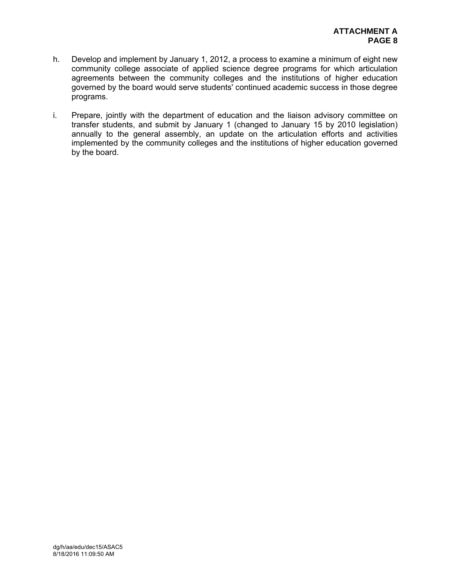- h. Develop and implement by January 1, 2012, a process to examine a minimum of eight new community college associate of applied science degree programs for which articulation agreements between the community colleges and the institutions of higher education governed by the board would serve students' continued academic success in those degree programs.
- i. Prepare, jointly with the department of education and the liaison advisory committee on transfer students, and submit by January 1 (changed to January 15 by 2010 legislation) annually to the general assembly, an update on the articulation efforts and activities implemented by the community colleges and the institutions of higher education governed by the board.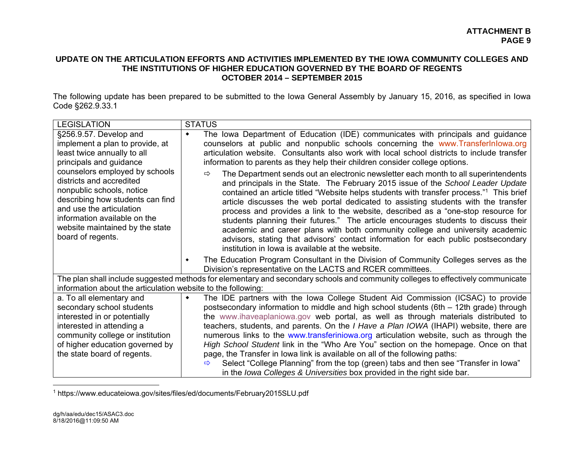# **UPDATE ON THE ARTICULATION EFFORTS AND ACTIVITIES IMPLEMENTED BY THE IOWA COMMUNITY COLLEGES AND THE INSTITUTIONS OF HIGHER EDUCATION GOVERNED BY THE BOARD OF REGENTS OCTOBER 2014 – SEPTEMBER 2015**

The following update has been prepared to be submitted to the Iowa General Assembly by January 15, 2016, as specified in Iowa Code §262.9.33.1

| <b>LEGISLATION</b>                                                                                                                                                                                                                                                                                                                                                     | <b>STATUS</b>                                                                                                                                                                                                                                                                                                                                                                                                                                                                                                                                                                                                                                                                                                                                                                                                             |  |  |
|------------------------------------------------------------------------------------------------------------------------------------------------------------------------------------------------------------------------------------------------------------------------------------------------------------------------------------------------------------------------|---------------------------------------------------------------------------------------------------------------------------------------------------------------------------------------------------------------------------------------------------------------------------------------------------------------------------------------------------------------------------------------------------------------------------------------------------------------------------------------------------------------------------------------------------------------------------------------------------------------------------------------------------------------------------------------------------------------------------------------------------------------------------------------------------------------------------|--|--|
| §256.9.57. Develop and<br>implement a plan to provide, at<br>least twice annually to all<br>principals and guidance<br>counselors employed by schools<br>districts and accredited<br>nonpublic schools, notice<br>describing how students can find<br>and use the articulation<br>information available on the<br>website maintained by the state<br>board of regents. | The lowa Department of Education (IDE) communicates with principals and guidance<br>٠<br>counselors at public and nonpublic schools concerning the www.TransferInlowa.org<br>articulation website. Consultants also work with local school districts to include transfer<br>information to parents as they help their children consider college options.                                                                                                                                                                                                                                                                                                                                                                                                                                                                  |  |  |
|                                                                                                                                                                                                                                                                                                                                                                        | The Department sends out an electronic newsletter each month to all superintendents<br>$\Rightarrow$<br>and principals in the State. The February 2015 issue of the School Leader Update<br>contained an article titled "Website helps students with transfer process." <sup>1</sup> This brief<br>article discusses the web portal dedicated to assisting students with the transfer<br>process and provides a link to the website, described as a "one-stop resource for<br>students planning their futures." The article encourages students to discuss their<br>academic and career plans with both community college and university academic<br>advisors, stating that advisors' contact information for each public postsecondary<br>institution in lowa is available at the website.                               |  |  |
|                                                                                                                                                                                                                                                                                                                                                                        | The Education Program Consultant in the Division of Community Colleges serves as the<br>٠<br>Division's representative on the LACTS and RCER committees.                                                                                                                                                                                                                                                                                                                                                                                                                                                                                                                                                                                                                                                                  |  |  |
| The plan shall include suggested methods for elementary and secondary schools and community colleges to effectively communicate<br>information about the articulation website to the following:                                                                                                                                                                        |                                                                                                                                                                                                                                                                                                                                                                                                                                                                                                                                                                                                                                                                                                                                                                                                                           |  |  |
| a. To all elementary and<br>secondary school students<br>interested in or potentially<br>interested in attending a<br>community college or institution<br>of higher education governed by<br>the state board of regents.                                                                                                                                               | The IDE partners with the lowa College Student Aid Commission (ICSAC) to provide<br>٠<br>postsecondary information to middle and high school students (6th - 12th grade) through<br>the www.ihaveaplaniowa.gov web portal, as well as through materials distributed to<br>teachers, students, and parents. On the <i>I Have a Plan IOWA</i> (IHAPI) website, there are<br>numerous links to the www.transferiniowa.org articulation website, such as through the<br>High School Student link in the "Who Are You" section on the homepage. Once on that<br>page, the Transfer in lowa link is available on all of the following paths:<br>Select "College Planning" from the top (green) tabs and then see "Transfer in lowa"<br>$\Rightarrow$<br>in the lowa Colleges & Universities box provided in the right side bar. |  |  |

1 https://www.educateiowa.gov/sites/files/ed/documents/February2015SLU.pdf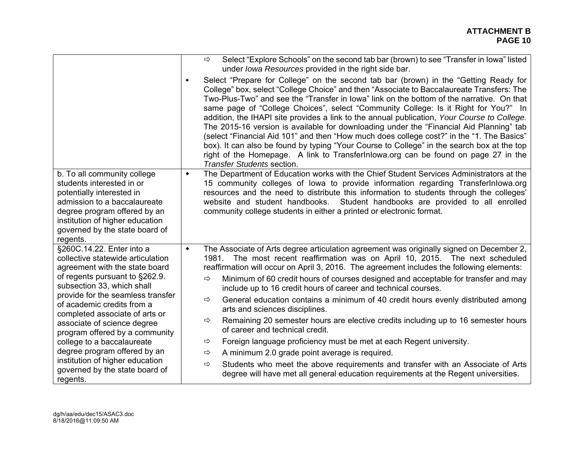|                                                                                                                                                                                                                                        |                 | Select "Explore Schools" on the second tab bar (brown) to see "Transfer in lowa" listed<br>$\Rightarrow$<br>under Iowa Resources provided in the right side bar.                                                                                                                                                                                                                                                                                                                                                                                                                                                                                                                                                                                                                                                                                                                      |
|----------------------------------------------------------------------------------------------------------------------------------------------------------------------------------------------------------------------------------------|-----------------|---------------------------------------------------------------------------------------------------------------------------------------------------------------------------------------------------------------------------------------------------------------------------------------------------------------------------------------------------------------------------------------------------------------------------------------------------------------------------------------------------------------------------------------------------------------------------------------------------------------------------------------------------------------------------------------------------------------------------------------------------------------------------------------------------------------------------------------------------------------------------------------|
|                                                                                                                                                                                                                                        | $\blacklozenge$ | Select "Prepare for College" on the second tab bar (brown) in the "Getting Ready for<br>College" box, select "College Choice" and then "Associate to Baccalaureate Transfers: The<br>Two-Plus-Two" and see the "Transfer in lowa" link on the bottom of the narrative. On that<br>same page of "College Choices", select "Community College: Is it Right for You?" In<br>addition, the IHAPI site provides a link to the annual publication, Your Course to College.<br>The 2015-16 version is available for downloading under the "Financial Aid Planning" tab<br>(select "Financial Aid 101" and then "How much does college cost?" in the "1. The Basics"<br>box). It can also be found by typing "Your Course to College" in the search box at the top<br>right of the Homepage. A link to Transferlnlowa.org can be found on page 27 in the<br><b>Transfer Students section.</b> |
| b. To all community college<br>students interested in or<br>potentially interested in<br>admission to a baccalaureate<br>degree program offered by an<br>institution of higher education<br>governed by the state board of<br>regents. | ٠               | The Department of Education works with the Chief Student Services Administrators at the<br>15 community colleges of lowa to provide information regarding TransferInlowa.org<br>resources and the need to distribute this information to students through the colleges'<br>website and student handbooks. Student handbooks are provided to all enrolled<br>community college students in either a printed or electronic format.                                                                                                                                                                                                                                                                                                                                                                                                                                                      |
| §260C.14.22. Enter into a<br>collective statewide articulation<br>agreement with the state board                                                                                                                                       | $\blacklozenge$ | The Associate of Arts degree articulation agreement was originally signed on December 2,<br>1981. The most recent reaffirmation was on April 10, 2015. The next scheduled<br>reaffirmation will occur on April 3, 2016. The agreement includes the following elements:                                                                                                                                                                                                                                                                                                                                                                                                                                                                                                                                                                                                                |
| of regents pursuant to §262.9.<br>subsection 33, which shall                                                                                                                                                                           |                 | Minimum of 60 credit hours of courses designed and acceptable for transfer and may<br>⇨<br>include up to 16 credit hours of career and technical courses.                                                                                                                                                                                                                                                                                                                                                                                                                                                                                                                                                                                                                                                                                                                             |
| provide for the seamless transfer<br>of academic credits from a<br>completed associate of arts or                                                                                                                                      |                 | General education contains a minimum of 40 credit hours evenly distributed among<br>⇨<br>arts and sciences disciplines.                                                                                                                                                                                                                                                                                                                                                                                                                                                                                                                                                                                                                                                                                                                                                               |
| associate of science degree<br>program offered by a community                                                                                                                                                                          |                 | Remaining 20 semester hours are elective credits including up to 16 semester hours<br>⇨<br>of career and technical credit.                                                                                                                                                                                                                                                                                                                                                                                                                                                                                                                                                                                                                                                                                                                                                            |
| college to a baccalaureate                                                                                                                                                                                                             |                 | Foreign language proficiency must be met at each Regent university.<br>⇨                                                                                                                                                                                                                                                                                                                                                                                                                                                                                                                                                                                                                                                                                                                                                                                                              |
| degree program offered by an                                                                                                                                                                                                           |                 | A minimum 2.0 grade point average is required.<br>⇨                                                                                                                                                                                                                                                                                                                                                                                                                                                                                                                                                                                                                                                                                                                                                                                                                                   |
| institution of higher education<br>governed by the state board of<br>regents.                                                                                                                                                          |                 | Students who meet the above requirements and transfer with an Associate of Arts<br>$\Rightarrow$<br>degree will have met all general education requirements at the Regent universities.                                                                                                                                                                                                                                                                                                                                                                                                                                                                                                                                                                                                                                                                                               |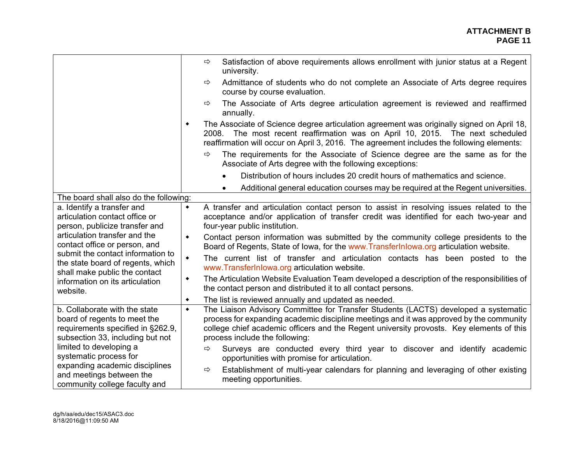|                                                                                                                                                                                                                          |                 | Satisfaction of above requirements allows enrollment with junior status at a Regent<br>⇨<br>university.                                                                                                                                                                                                      |
|--------------------------------------------------------------------------------------------------------------------------------------------------------------------------------------------------------------------------|-----------------|--------------------------------------------------------------------------------------------------------------------------------------------------------------------------------------------------------------------------------------------------------------------------------------------------------------|
|                                                                                                                                                                                                                          |                 | Admittance of students who do not complete an Associate of Arts degree requires<br>⇨<br>course by course evaluation.                                                                                                                                                                                         |
|                                                                                                                                                                                                                          |                 | The Associate of Arts degree articulation agreement is reviewed and reaffirmed<br>⇨<br>annually.                                                                                                                                                                                                             |
|                                                                                                                                                                                                                          | $\blacklozenge$ | The Associate of Science degree articulation agreement was originally signed on April 18,<br>2008. The most recent reaffirmation was on April 10, 2015. The next scheduled<br>reaffirmation will occur on April 3, 2016. The agreement includes the following elements:                                      |
|                                                                                                                                                                                                                          |                 | The requirements for the Associate of Science degree are the same as for the<br>$\Rightarrow$<br>Associate of Arts degree with the following exceptions:                                                                                                                                                     |
|                                                                                                                                                                                                                          |                 | Distribution of hours includes 20 credit hours of mathematics and science.                                                                                                                                                                                                                                   |
|                                                                                                                                                                                                                          |                 | Additional general education courses may be required at the Regent universities.                                                                                                                                                                                                                             |
| The board shall also do the following:                                                                                                                                                                                   |                 |                                                                                                                                                                                                                                                                                                              |
| a. Identify a transfer and<br>articulation contact office or<br>person, publicize transfer and                                                                                                                           | $\blacklozenge$ | A transfer and articulation contact person to assist in resolving issues related to the<br>acceptance and/or application of transfer credit was identified for each two-year and<br>four-year public institution.                                                                                            |
| articulation transfer and the<br>contact office or person, and<br>submit the contact information to<br>the state board of regents, which<br>shall make public the contact<br>information on its articulation<br>website. | $\blacklozenge$ | Contact person information was submitted by the community college presidents to the<br>Board of Regents, State of Iowa, for the www.Transferlnlowa.org articulation website.                                                                                                                                 |
|                                                                                                                                                                                                                          | $\blacklozenge$ | The current list of transfer and articulation contacts has been posted to the<br>www.TransferInlowa.org articulation website.                                                                                                                                                                                |
|                                                                                                                                                                                                                          | $\blacklozenge$ | The Articulation Website Evaluation Team developed a description of the responsibilities of<br>the contact person and distributed it to all contact persons.                                                                                                                                                 |
|                                                                                                                                                                                                                          | $\blacklozenge$ | The list is reviewed annually and updated as needed.                                                                                                                                                                                                                                                         |
| b. Collaborate with the state<br>board of regents to meet the<br>requirements specified in §262.9,<br>subsection 33, including but not                                                                                   |                 | The Liaison Advisory Committee for Transfer Students (LACTS) developed a systematic<br>process for expanding academic discipline meetings and it was approved by the community<br>college chief academic officers and the Regent university provosts. Key elements of this<br>process include the following: |
| limited to developing a<br>systematic process for                                                                                                                                                                        |                 | Surveys are conducted every third year to discover and identify academic<br>$\Rightarrow$<br>opportunities with promise for articulation.                                                                                                                                                                    |
| expanding academic disciplines<br>and meetings between the<br>community college faculty and                                                                                                                              |                 | Establishment of multi-year calendars for planning and leveraging of other existing<br>$\Rightarrow$<br>meeting opportunities.                                                                                                                                                                               |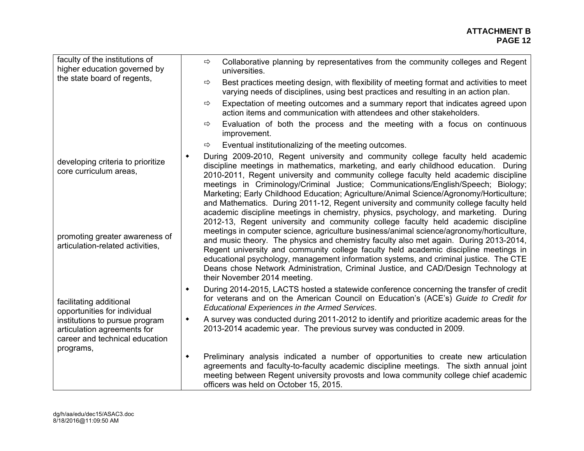| faculty of the institutions of<br>higher education governed by                                  | Collaborative planning by representatives from the community colleges and Regent<br>$\Rightarrow$<br>universities.                                                                                                                                                                                                                                                                                                                                                                                                                                                                                                                                                                                                         |
|-------------------------------------------------------------------------------------------------|----------------------------------------------------------------------------------------------------------------------------------------------------------------------------------------------------------------------------------------------------------------------------------------------------------------------------------------------------------------------------------------------------------------------------------------------------------------------------------------------------------------------------------------------------------------------------------------------------------------------------------------------------------------------------------------------------------------------------|
| the state board of regents,                                                                     | Best practices meeting design, with flexibility of meeting format and activities to meet<br>$\Rightarrow$<br>varying needs of disciplines, using best practices and resulting in an action plan.                                                                                                                                                                                                                                                                                                                                                                                                                                                                                                                           |
|                                                                                                 | Expectation of meeting outcomes and a summary report that indicates agreed upon<br>⇨<br>action items and communication with attendees and other stakeholders.                                                                                                                                                                                                                                                                                                                                                                                                                                                                                                                                                              |
|                                                                                                 | Evaluation of both the process and the meeting with a focus on continuous<br>⇨<br>improvement.                                                                                                                                                                                                                                                                                                                                                                                                                                                                                                                                                                                                                             |
|                                                                                                 | Eventual institutionalizing of the meeting outcomes.<br>⇨                                                                                                                                                                                                                                                                                                                                                                                                                                                                                                                                                                                                                                                                  |
| developing criteria to prioritize<br>core curriculum areas,                                     | During 2009-2010, Regent university and community college faculty held academic<br>٠<br>discipline meetings in mathematics, marketing, and early childhood education. During<br>2010-2011, Regent university and community college faculty held academic discipline<br>meetings in Criminology/Criminal Justice; Communications/English/Speech; Biology;<br>Marketing; Early Childhood Education; Agriculture/Animal Science/Agronomy/Horticulture;<br>and Mathematics. During 2011-12, Regent university and community college faculty held<br>academic discipline meetings in chemistry, physics, psychology, and marketing. During<br>2012-13, Regent university and community college faculty held academic discipline |
| promoting greater awareness of<br>articulation-related activities,                              | meetings in computer science, agriculture business/animal science/agronomy/horticulture,<br>and music theory. The physics and chemistry faculty also met again. During 2013-2014,<br>Regent university and community college faculty held academic discipline meetings in<br>educational psychology, management information systems, and criminal justice. The CTE<br>Deans chose Network Administration, Criminal Justice, and CAD/Design Technology at<br>their November 2014 meeting.                                                                                                                                                                                                                                   |
| facilitating additional<br>opportunities for individual                                         | During 2014-2015, LACTS hosted a statewide conference concerning the transfer of credit<br>٠<br>for veterans and on the American Council on Education's (ACE's) Guide to Credit for<br>Educational Experiences in the Armed Services.                                                                                                                                                                                                                                                                                                                                                                                                                                                                                      |
| institutions to pursue program<br>articulation agreements for<br>career and technical education | A survey was conducted during 2011-2012 to identify and prioritize academic areas for the<br>$\blacklozenge$<br>2013-2014 academic year. The previous survey was conducted in 2009.                                                                                                                                                                                                                                                                                                                                                                                                                                                                                                                                        |
| programs,                                                                                       | Preliminary analysis indicated a number of opportunities to create new articulation<br>$\blacklozenge$<br>agreements and faculty-to-faculty academic discipline meetings. The sixth annual joint<br>meeting between Regent university provosts and lowa community college chief academic<br>officers was held on October 15, 2015.                                                                                                                                                                                                                                                                                                                                                                                         |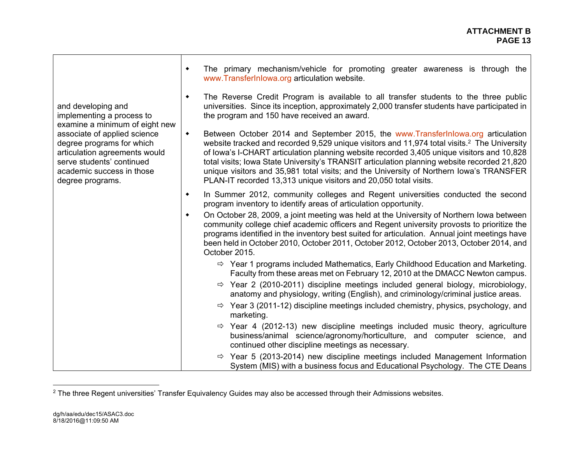|                                                                                                                                                                                                                                                               | The primary mechanism/vehicle for promoting greater awareness is through the<br>$\blacklozenge$<br>www.TransferInlowa.org articulation website.                                                                                                                                                                                                                                                                                                                                                                                                                            |  |  |
|---------------------------------------------------------------------------------------------------------------------------------------------------------------------------------------------------------------------------------------------------------------|----------------------------------------------------------------------------------------------------------------------------------------------------------------------------------------------------------------------------------------------------------------------------------------------------------------------------------------------------------------------------------------------------------------------------------------------------------------------------------------------------------------------------------------------------------------------------|--|--|
| and developing and<br>implementing a process to<br>examine a minimum of eight new<br>associate of applied science<br>degree programs for which<br>articulation agreements would<br>serve students' continued<br>academic success in those<br>degree programs. | The Reverse Credit Program is available to all transfer students to the three public<br>$\blacklozenge$<br>universities. Since its inception, approximately 2,000 transfer students have participated in<br>the program and 150 have received an award.                                                                                                                                                                                                                                                                                                                    |  |  |
|                                                                                                                                                                                                                                                               | Between October 2014 and September 2015, the www.Transfer Inlowa.org articulation<br>$\blacklozenge$<br>website tracked and recorded 9,529 unique visitors and 11,974 total visits. <sup>2</sup> The University<br>of Iowa's I-CHART articulation planning website recorded 3,405 unique visitors and 10,828<br>total visits; lowa State University's TRANSIT articulation planning website recorded 21,820<br>unique visitors and 35,981 total visits; and the University of Northern Iowa's TRANSFER<br>PLAN-IT recorded 13,313 unique visitors and 20,050 total visits. |  |  |
|                                                                                                                                                                                                                                                               | In Summer 2012, community colleges and Regent universities conducted the second<br>٠<br>program inventory to identify areas of articulation opportunity.                                                                                                                                                                                                                                                                                                                                                                                                                   |  |  |
|                                                                                                                                                                                                                                                               | On October 28, 2009, a joint meeting was held at the University of Northern Iowa between<br>$\blacklozenge$<br>community college chief academic officers and Regent university provosts to prioritize the<br>programs identified in the inventory best suited for articulation. Annual joint meetings have<br>been held in October 2010, October 2011, October 2012, October 2013, October 2014, and<br>October 2015.                                                                                                                                                      |  |  |
|                                                                                                                                                                                                                                                               | $\Rightarrow$ Year 1 programs included Mathematics, Early Childhood Education and Marketing.<br>Faculty from these areas met on February 12, 2010 at the DMACC Newton campus.                                                                                                                                                                                                                                                                                                                                                                                              |  |  |
|                                                                                                                                                                                                                                                               | $\Rightarrow$ Year 2 (2010-2011) discipline meetings included general biology, microbiology,<br>anatomy and physiology, writing (English), and criminology/criminal justice areas.                                                                                                                                                                                                                                                                                                                                                                                         |  |  |
|                                                                                                                                                                                                                                                               | $\Rightarrow$ Year 3 (2011-12) discipline meetings included chemistry, physics, psychology, and<br>marketing.                                                                                                                                                                                                                                                                                                                                                                                                                                                              |  |  |
|                                                                                                                                                                                                                                                               | $\Rightarrow$ Year 4 (2012-13) new discipline meetings included music theory, agriculture<br>business/animal science/agronomy/horticulture, and computer science, and<br>continued other discipline meetings as necessary.                                                                                                                                                                                                                                                                                                                                                 |  |  |
|                                                                                                                                                                                                                                                               | $\Rightarrow$ Year 5 (2013-2014) new discipline meetings included Management Information<br>System (MIS) with a business focus and Educational Psychology. The CTE Deans                                                                                                                                                                                                                                                                                                                                                                                                   |  |  |

<sup>&</sup>lt;sup>2</sup> The three Regent universities' Transfer Equivalency Guides may also be accessed through their Admissions websites.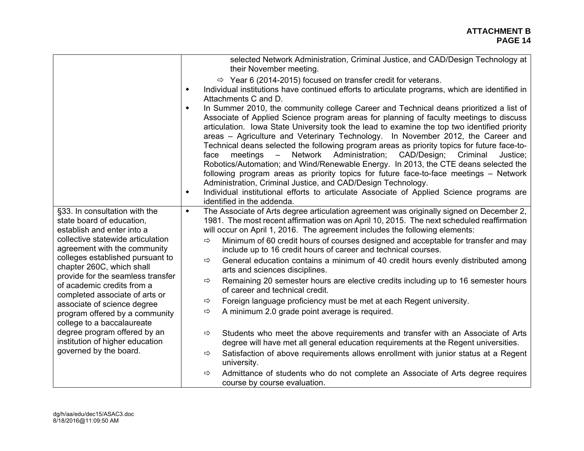|                                                                                                                                                                                                                                                                                                                                                                                                                                                                                                                                 | selected Network Administration, Criminal Justice, and CAD/Design Technology at<br>their November meeting.                                                                                                                                                                                                                                                                                                                                                                                                                                                                                                                                                                                                                                                                                                                                                                                                                                                                                                                                  |
|---------------------------------------------------------------------------------------------------------------------------------------------------------------------------------------------------------------------------------------------------------------------------------------------------------------------------------------------------------------------------------------------------------------------------------------------------------------------------------------------------------------------------------|---------------------------------------------------------------------------------------------------------------------------------------------------------------------------------------------------------------------------------------------------------------------------------------------------------------------------------------------------------------------------------------------------------------------------------------------------------------------------------------------------------------------------------------------------------------------------------------------------------------------------------------------------------------------------------------------------------------------------------------------------------------------------------------------------------------------------------------------------------------------------------------------------------------------------------------------------------------------------------------------------------------------------------------------|
|                                                                                                                                                                                                                                                                                                                                                                                                                                                                                                                                 | $\Rightarrow$ Year 6 (2014-2015) focused on transfer credit for veterans.<br>Individual institutions have continued efforts to articulate programs, which are identified in<br>$\blacklozenge$<br>Attachments C and D.<br>In Summer 2010, the community college Career and Technical deans prioritized a list of<br>٠<br>Associate of Applied Science program areas for planning of faculty meetings to discuss<br>articulation. Iowa State University took the lead to examine the top two identified priority<br>areas – Agriculture and Veterinary Technology. In November 2012, the Career and<br>Technical deans selected the following program areas as priority topics for future face-to-<br>Network Administration;<br>CAD/Design;<br>Criminal<br>face<br>meetings $-$<br>Justice;<br>Robotics/Automation; and Wind/Renewable Energy. In 2013, the CTE deans selected the<br>following program areas as priority topics for future face-to-face meetings - Network<br>Administration, Criminal Justice, and CAD/Design Technology. |
|                                                                                                                                                                                                                                                                                                                                                                                                                                                                                                                                 | Individual institutional efforts to articulate Associate of Applied Science programs are<br>$\blacklozenge$<br>identified in the addenda.                                                                                                                                                                                                                                                                                                                                                                                                                                                                                                                                                                                                                                                                                                                                                                                                                                                                                                   |
| §33. In consultation with the<br>state board of education,<br>establish and enter into a<br>collective statewide articulation<br>agreement with the community<br>colleges established pursuant to<br>chapter 260C, which shall<br>provide for the seamless transfer<br>of academic credits from a<br>completed associate of arts or<br>associate of science degree<br>program offered by a community<br>college to a baccalaureate<br>degree program offered by an<br>institution of higher education<br>governed by the board. | The Associate of Arts degree articulation agreement was originally signed on December 2,<br>$\blacklozenge$<br>1981. The most recent affirmation was on April 10, 2015. The next scheduled reaffirmation<br>will occur on April 1, 2016. The agreement includes the following elements:<br>Minimum of 60 credit hours of courses designed and acceptable for transfer and may<br>⇨<br>include up to 16 credit hours of career and technical courses.<br>General education contains a minimum of 40 credit hours evenly distributed among<br>$\Rightarrow$<br>arts and sciences disciplines.<br>Remaining 20 semester hours are elective credits including up to 16 semester hours<br>$\Rightarrow$<br>of career and technical credit.<br>Foreign language proficiency must be met at each Regent university.<br>⇨<br>A minimum 2.0 grade point average is required.<br>$\Rightarrow$                                                                                                                                                        |
|                                                                                                                                                                                                                                                                                                                                                                                                                                                                                                                                 | Students who meet the above requirements and transfer with an Associate of Arts<br>$\Rightarrow$<br>degree will have met all general education requirements at the Regent universities.<br>Satisfaction of above requirements allows enrollment with junior status at a Regent<br>$\Rightarrow$                                                                                                                                                                                                                                                                                                                                                                                                                                                                                                                                                                                                                                                                                                                                             |
|                                                                                                                                                                                                                                                                                                                                                                                                                                                                                                                                 | university.<br>Admittance of students who do not complete an Associate of Arts degree requires<br>$\Rightarrow$<br>course by course evaluation.                                                                                                                                                                                                                                                                                                                                                                                                                                                                                                                                                                                                                                                                                                                                                                                                                                                                                             |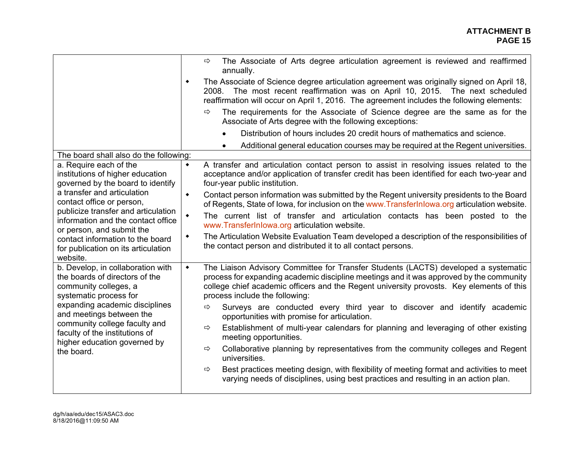|                                                                                                                                                                                                                                                                                                       | The Associate of Arts degree articulation agreement is reviewed and reaffirmed<br>$\Rightarrow$<br>annually.                                                                                                                                                                                                                    |
|-------------------------------------------------------------------------------------------------------------------------------------------------------------------------------------------------------------------------------------------------------------------------------------------------------|---------------------------------------------------------------------------------------------------------------------------------------------------------------------------------------------------------------------------------------------------------------------------------------------------------------------------------|
|                                                                                                                                                                                                                                                                                                       | The Associate of Science degree articulation agreement was originally signed on April 18,<br>٠<br>2008. The most recent reaffirmation was on April 10, 2015. The next scheduled<br>reaffirmation will occur on April 1, 2016. The agreement includes the following elements:                                                    |
|                                                                                                                                                                                                                                                                                                       | The requirements for the Associate of Science degree are the same as for the<br>⇨<br>Associate of Arts degree with the following exceptions:                                                                                                                                                                                    |
|                                                                                                                                                                                                                                                                                                       | Distribution of hours includes 20 credit hours of mathematics and science.                                                                                                                                                                                                                                                      |
|                                                                                                                                                                                                                                                                                                       | Additional general education courses may be required at the Regent universities.                                                                                                                                                                                                                                                |
| The board shall also do the following:                                                                                                                                                                                                                                                                |                                                                                                                                                                                                                                                                                                                                 |
| a. Require each of the<br>institutions of higher education<br>governed by the board to identify                                                                                                                                                                                                       | A transfer and articulation contact person to assist in resolving issues related to the<br>$\blacklozenge$<br>acceptance and/or application of transfer credit has been identified for each two-year and<br>four-year public institution.                                                                                       |
| a transfer and articulation<br>contact office or person,                                                                                                                                                                                                                                              | Contact person information was submitted by the Regent university presidents to the Board<br>$\blacklozenge$<br>of Regents, State of Iowa, for inclusion on the www.TransferInlowa.org articulation website.                                                                                                                    |
| publicize transfer and articulation<br>information and the contact office<br>or person, and submit the<br>contact information to the board<br>for publication on its articulation<br>website.                                                                                                         | The current list of transfer and articulation contacts has been posted to the<br>$\blacklozenge$<br>www.TransferInlowa.org articulation website.                                                                                                                                                                                |
|                                                                                                                                                                                                                                                                                                       | The Articulation Website Evaluation Team developed a description of the responsibilities of<br>٠<br>the contact person and distributed it to all contact persons.                                                                                                                                                               |
| b. Develop, in collaboration with<br>the boards of directors of the<br>community colleges, a<br>systematic process for<br>expanding academic disciplines<br>and meetings between the<br>community college faculty and<br>faculty of the institutions of<br>higher education governed by<br>the board. | The Liaison Advisory Committee for Transfer Students (LACTS) developed a systematic<br>$\blacklozenge$<br>process for expanding academic discipline meetings and it was approved by the community<br>college chief academic officers and the Regent university provosts. Key elements of this<br>process include the following: |
|                                                                                                                                                                                                                                                                                                       | Surveys are conducted every third year to discover and identify academic<br>⇨<br>opportunities with promise for articulation.                                                                                                                                                                                                   |
|                                                                                                                                                                                                                                                                                                       | Establishment of multi-year calendars for planning and leveraging of other existing<br>⇨<br>meeting opportunities.                                                                                                                                                                                                              |
|                                                                                                                                                                                                                                                                                                       | Collaborative planning by representatives from the community colleges and Regent<br>⇨<br>universities.                                                                                                                                                                                                                          |
|                                                                                                                                                                                                                                                                                                       | Best practices meeting design, with flexibility of meeting format and activities to meet<br>$\Rightarrow$<br>varying needs of disciplines, using best practices and resulting in an action plan.                                                                                                                                |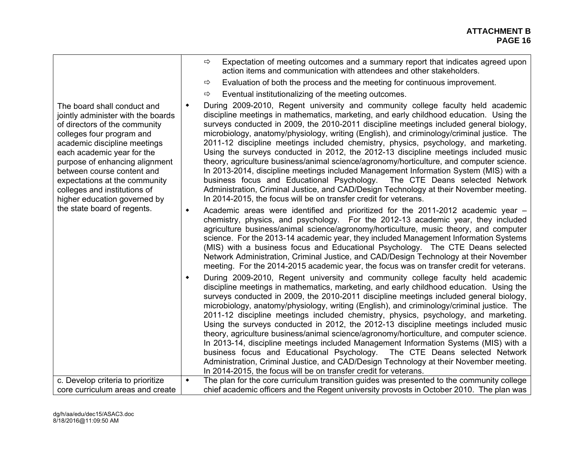| The board shall conduct and<br>jointly administer with the boards<br>of directors of the community<br>colleges four program and<br>academic discipline meetings<br>each academic year for the<br>purpose of enhancing alignment<br>between course content and<br>expectations at the community<br>colleges and institutions of<br>higher education governed by<br>the state board of regents. | Expectation of meeting outcomes and a summary report that indicates agreed upon<br>⇨<br>action items and communication with attendees and other stakeholders.<br>Evaluation of both the process and the meeting for continuous improvement.<br>⇨<br>Eventual institutionalizing of the meeting outcomes.<br>⇨<br>During 2009-2010, Regent university and community college faculty held academic<br>٠<br>discipline meetings in mathematics, marketing, and early childhood education. Using the<br>surveys conducted in 2009, the 2010-2011 discipline meetings included general biology,<br>microbiology, anatomy/physiology, writing (English), and criminology/criminal justice. The<br>2011-12 discipline meetings included chemistry, physics, psychology, and marketing.<br>Using the surveys conducted in 2012, the 2012-13 discipline meetings included music<br>theory, agriculture business/animal science/agronomy/horticulture, and computer science.<br>In 2013-2014, discipline meetings included Management Information System (MIS) with a<br>business focus and Educational Psychology. The CTE Deans selected Network<br>Administration, Criminal Justice, and CAD/Design Technology at their November meeting.<br>In 2014-2015, the focus will be on transfer credit for veterans.<br>Academic areas were identified and prioritized for the 2011-2012 academic year -<br>٠ |
|-----------------------------------------------------------------------------------------------------------------------------------------------------------------------------------------------------------------------------------------------------------------------------------------------------------------------------------------------------------------------------------------------|-------------------------------------------------------------------------------------------------------------------------------------------------------------------------------------------------------------------------------------------------------------------------------------------------------------------------------------------------------------------------------------------------------------------------------------------------------------------------------------------------------------------------------------------------------------------------------------------------------------------------------------------------------------------------------------------------------------------------------------------------------------------------------------------------------------------------------------------------------------------------------------------------------------------------------------------------------------------------------------------------------------------------------------------------------------------------------------------------------------------------------------------------------------------------------------------------------------------------------------------------------------------------------------------------------------------------------------------------------------------------------------------------|
|                                                                                                                                                                                                                                                                                                                                                                                               | chemistry, physics, and psychology. For the 2012-13 academic year, they included<br>agriculture business/animal science/agronomy/horticulture, music theory, and computer<br>science. For the 2013-14 academic year, they included Management Information Systems<br>(MIS) with a business focus and Educational Psychology. The CTE Deans selected<br>Network Administration, Criminal Justice, and CAD/Design Technology at their November<br>meeting. For the 2014-2015 academic year, the focus was on transfer credit for veterans.                                                                                                                                                                                                                                                                                                                                                                                                                                                                                                                                                                                                                                                                                                                                                                                                                                                        |
|                                                                                                                                                                                                                                                                                                                                                                                               | During 2009-2010, Regent university and community college faculty held academic<br>٠<br>discipline meetings in mathematics, marketing, and early childhood education. Using the<br>surveys conducted in 2009, the 2010-2011 discipline meetings included general biology,<br>microbiology, anatomy/physiology, writing (English), and criminology/criminal justice. The<br>2011-12 discipline meetings included chemistry, physics, psychology, and marketing.<br>Using the surveys conducted in 2012, the 2012-13 discipline meetings included music<br>theory, agriculture business/animal science/agronomy/horticulture, and computer science.<br>In 2013-14, discipline meetings included Management Information Systems (MIS) with a<br>business focus and Educational Psychology. The CTE Deans selected Network<br>Administration, Criminal Justice, and CAD/Design Technology at their November meeting.<br>In 2014-2015, the focus will be on transfer credit for veterans.                                                                                                                                                                                                                                                                                                                                                                                                            |
| c. Develop criteria to prioritize                                                                                                                                                                                                                                                                                                                                                             | The plan for the core curriculum transition guides was presented to the community college<br>$\blacklozenge$                                                                                                                                                                                                                                                                                                                                                                                                                                                                                                                                                                                                                                                                                                                                                                                                                                                                                                                                                                                                                                                                                                                                                                                                                                                                                    |
| core curriculum areas and create                                                                                                                                                                                                                                                                                                                                                              | chief academic officers and the Regent university provosts in October 2010. The plan was                                                                                                                                                                                                                                                                                                                                                                                                                                                                                                                                                                                                                                                                                                                                                                                                                                                                                                                                                                                                                                                                                                                                                                                                                                                                                                        |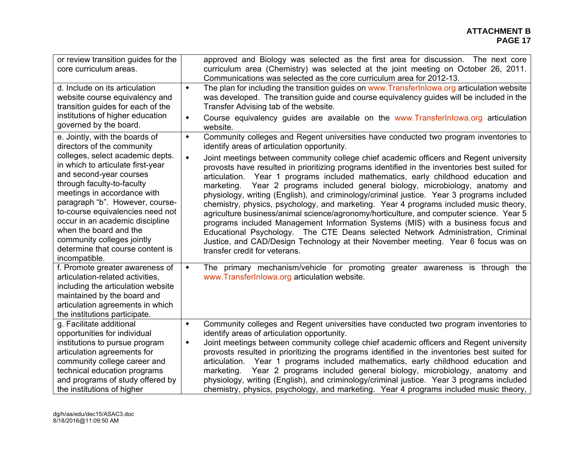#### **ATTACHMENT B PAGE 17 PAGE 17**

| or review transition guides for the<br>core curriculum areas.                                                                                                                                                                                                                                                                                                                        | approved and Biology was selected as the first area for discussion. The next core<br>curriculum area (Chemistry) was selected at the joint meeting on October 26, 2011.<br>Communications was selected as the core curriculum area for 2012-13.                                                                                                                                                                                                                                                                                                                                                                                                                                                                                                                                                                                                                                                                                                                 |  |  |
|--------------------------------------------------------------------------------------------------------------------------------------------------------------------------------------------------------------------------------------------------------------------------------------------------------------------------------------------------------------------------------------|-----------------------------------------------------------------------------------------------------------------------------------------------------------------------------------------------------------------------------------------------------------------------------------------------------------------------------------------------------------------------------------------------------------------------------------------------------------------------------------------------------------------------------------------------------------------------------------------------------------------------------------------------------------------------------------------------------------------------------------------------------------------------------------------------------------------------------------------------------------------------------------------------------------------------------------------------------------------|--|--|
| d. Include on its articulation<br>website course equivalency and<br>transition guides for each of the<br>institutions of higher education<br>governed by the board.                                                                                                                                                                                                                  | The plan for including the transition guides on www. Transfer Inlowa.org articulation website<br>$\blacklozenge$<br>was developed. The transition guide and course equivalency guides will be included in the<br>Transfer Advising tab of the website.<br>Course equivalency guides are available on the www.TransferInlowa.org articulation<br>٠<br>website.                                                                                                                                                                                                                                                                                                                                                                                                                                                                                                                                                                                                   |  |  |
| e. Jointly, with the boards of<br>directors of the community                                                                                                                                                                                                                                                                                                                         | Community colleges and Regent universities have conducted two program inventories to<br>$\blacklozenge$<br>identify areas of articulation opportunity.                                                                                                                                                                                                                                                                                                                                                                                                                                                                                                                                                                                                                                                                                                                                                                                                          |  |  |
| colleges, select academic depts.<br>in which to articulate first-year<br>and second-year courses<br>through faculty-to-faculty<br>meetings in accordance with<br>paragraph "b". However, course-<br>to-course equivalencies need not<br>occur in an academic discipline<br>when the board and the<br>community colleges jointly<br>determine that course content is<br>incompatible. | Joint meetings between community college chief academic officers and Regent university<br>$\blacklozenge$<br>provosts have resulted in prioritizing programs identified in the inventories best suited for<br>articulation. Year 1 programs included mathematics, early childhood education and<br>marketing. Year 2 programs included general biology, microbiology, anatomy and<br>physiology, writing (English), and criminology/criminal justice. Year 3 programs included<br>chemistry, physics, psychology, and marketing. Year 4 programs included music theory,<br>agriculture business/animal science/agronomy/horticulture, and computer science. Year 5<br>programs included Management Information Systems (MIS) with a business focus and<br>Educational Psychology. The CTE Deans selected Network Administration, Criminal<br>Justice, and CAD/Design Technology at their November meeting. Year 6 focus was on<br>transfer credit for veterans. |  |  |
| f. Promote greater awareness of<br>articulation-related activities,<br>including the articulation website<br>maintained by the board and<br>articulation agreements in which<br>the institutions participate.                                                                                                                                                                        | The primary mechanism/vehicle for promoting greater awareness is through the<br>$\blacklozenge$<br>www.TransferInlowa.org articulation website.                                                                                                                                                                                                                                                                                                                                                                                                                                                                                                                                                                                                                                                                                                                                                                                                                 |  |  |
| g. Facilitate additional<br>opportunities for individual<br>institutions to pursue program<br>articulation agreements for<br>community college career and<br>technical education programs<br>and programs of study offered by<br>the institutions of higher                                                                                                                          | Community colleges and Regent universities have conducted two program inventories to<br>$\blacklozenge$<br>identify areas of articulation opportunity.<br>Joint meetings between community college chief academic officers and Regent university<br>$\blacklozenge$<br>provosts resulted in prioritizing the programs identified in the inventories best suited for<br>articulation. Year 1 programs included mathematics, early childhood education and<br>marketing. Year 2 programs included general biology, microbiology, anatomy and<br>physiology, writing (English), and criminology/criminal justice. Year 3 programs included<br>chemistry, physics, psychology, and marketing. Year 4 programs included music theory,                                                                                                                                                                                                                                |  |  |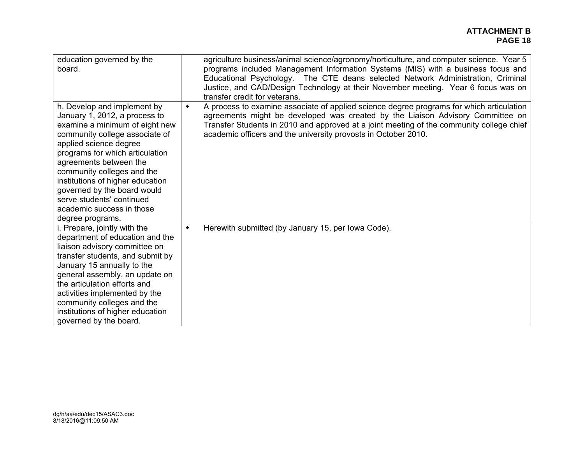| education governed by the<br>board.                                                                                                                                                                                                                                                                                                                                                                    | agriculture business/animal science/agronomy/horticulture, and computer science. Year 5<br>programs included Management Information Systems (MIS) with a business focus and<br>Educational Psychology. The CTE deans selected Network Administration, Criminal<br>Justice, and CAD/Design Technology at their November meeting. Year 6 focus was on<br>transfer credit for veterans. |
|--------------------------------------------------------------------------------------------------------------------------------------------------------------------------------------------------------------------------------------------------------------------------------------------------------------------------------------------------------------------------------------------------------|--------------------------------------------------------------------------------------------------------------------------------------------------------------------------------------------------------------------------------------------------------------------------------------------------------------------------------------------------------------------------------------|
| h. Develop and implement by<br>January 1, 2012, a process to<br>examine a minimum of eight new<br>community college associate of<br>applied science degree<br>programs for which articulation<br>agreements between the<br>community colleges and the<br>institutions of higher education<br>governed by the board would<br>serve students' continued<br>academic success in those<br>degree programs. | A process to examine associate of applied science degree programs for which articulation<br>$\blacklozenge$<br>agreements might be developed was created by the Liaison Advisory Committee on<br>Transfer Students in 2010 and approved at a joint meeting of the community college chief<br>academic officers and the university provosts in October 2010.                          |
| i. Prepare, jointly with the<br>department of education and the<br>liaison advisory committee on<br>transfer students, and submit by<br>January 15 annually to the<br>general assembly, an update on<br>the articulation efforts and<br>activities implemented by the<br>community colleges and the<br>institutions of higher education<br>governed by the board.                                      | Herewith submitted (by January 15, per Iowa Code).<br>$\blacklozenge$                                                                                                                                                                                                                                                                                                                |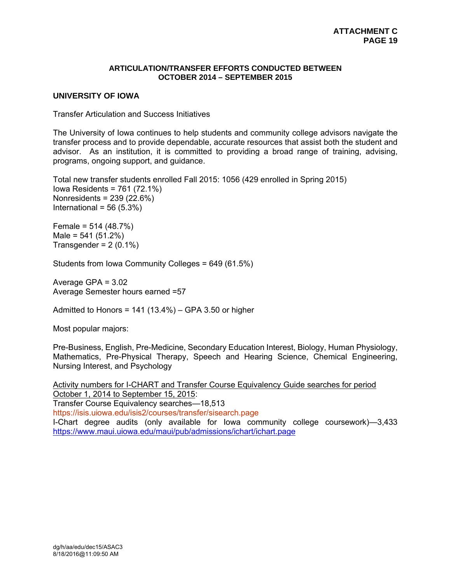#### **ARTICULATION/TRANSFER EFFORTS CONDUCTED BETWEEN OCTOBER 2014 – SEPTEMBER 2015**

#### **UNIVERSITY OF IOWA**

Transfer Articulation and Success Initiatives

The University of Iowa continues to help students and community college advisors navigate the transfer process and to provide dependable, accurate resources that assist both the student and advisor. As an institution, it is committed to providing a broad range of training, advising, programs, ongoing support, and guidance.

Total new transfer students enrolled Fall 2015: 1056 (429 enrolled in Spring 2015) Iowa Residents = 761 (72.1%) Nonresidents = 239 (22.6%) International =  $56(5.3%)$ 

Female = 514 (48.7%)  $Male = 541 (51.2%)$ Transgender =  $2(0.1\%)$ 

Students from Iowa Community Colleges = 649 (61.5%)

Average GPA = 3.02 Average Semester hours earned =57

Admitted to Honors =  $141 (13.4%) - GPA 3.50$  or higher

Most popular majors:

Pre-Business, English, Pre-Medicine, Secondary Education Interest, Biology, Human Physiology, Mathematics, Pre-Physical Therapy, Speech and Hearing Science, Chemical Engineering, Nursing Interest, and Psychology

Activity numbers for I-CHART and Transfer Course Equivalency Guide searches for period October 1, 2014 to September 15, 2015: Transfer Course Equivalency searches—18,513 https://isis.uiowa.edu/isis2/courses/transfer/sisearch.page I-Chart degree audits (only available for Iowa community college coursework)—3,433 https://www.maui.uiowa.edu/maui/pub/admissions/ichart/ichart.page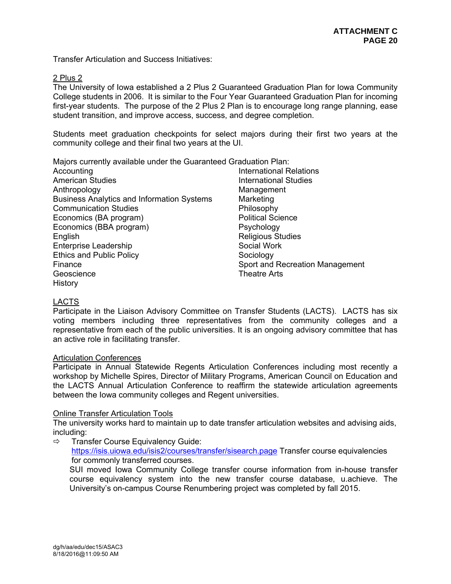Transfer Articulation and Success Initiatives:

#### 2 Plus 2

The University of Iowa established a 2 Plus 2 Guaranteed Graduation Plan for Iowa Community College students in 2006. It is similar to the Four Year Guaranteed Graduation Plan for incoming first-year students. The purpose of the 2 Plus 2 Plan is to encourage long range planning, ease student transition, and improve access, success, and degree completion.

Students meet graduation checkpoints for select majors during their first two years at the community college and their final two years at the UI.

Majors currently available under the Guaranteed Graduation Plan:

Accounting **International Relations** American Studies **International Studies** Anthropology Management Business Analytics and Information Systems Marketing Communication Studies **Philosophy** Economics (BA program) Political Science Economics (BBA program) Psychology English **English** Religious Studies Enterprise Leadership Social Work Ethics and Public Policy **Sociology** Sociology Finance Sport and Recreation Management Geoscience **Theatre Arts** History

# LACTS

Participate in the Liaison Advisory Committee on Transfer Students (LACTS). LACTS has six voting members including three representatives from the community colleges and a representative from each of the public universities. It is an ongoing advisory committee that has an active role in facilitating transfer.

#### Articulation Conferences

Participate in Annual Statewide Regents Articulation Conferences including most recently a workshop by Michelle Spires, Director of Military Programs, American Council on Education and the LACTS Annual Articulation Conference to reaffirm the statewide articulation agreements between the Iowa community colleges and Regent universities.

# Online Transfer Articulation Tools

The university works hard to maintain up to date transfer articulation websites and advising aids, including:

 $\Rightarrow$  Transfer Course Equivalency Guide:

https://isis.uiowa.edu/isis2/courses/transfer/sisearch.page Transfer course equivalencies for commonly transferred courses.

SUI moved Iowa Community College transfer course information from in-house transfer course equivalency system into the new transfer course database, u.achieve. The University's on-campus Course Renumbering project was completed by fall 2015.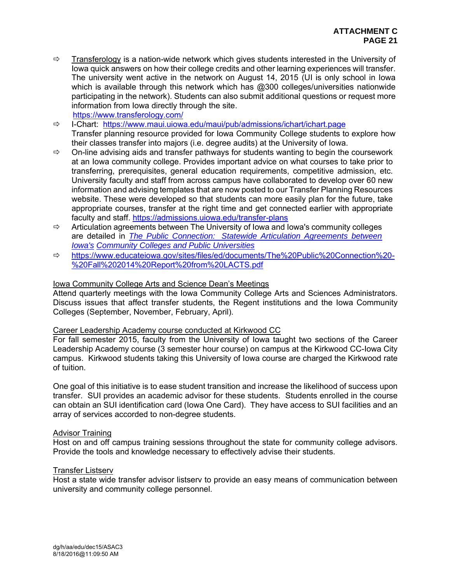- $\Rightarrow$  Transferology is a nation-wide network which gives students interested in the University of Iowa quick answers on how their college credits and other learning experiences will transfer. The university went active in the network on August 14, 2015 (UI is only school in Iowa which is available through this network which has  $@300$  colleges/universities nationwide participating in the network). Students can also submit additional questions or request more information from Iowa directly through the site. https://www.transferology.com/
- $\Rightarrow$  I-Chart: https://www.maui.uiowa.edu/maui/pub/admissions/ichart/ichart.page Transfer planning resource provided for Iowa Community College students to explore how their classes transfer into majors (i.e. degree audits) at the University of Iowa.
	- $\Rightarrow$  On-line advising aids and transfer pathways for students wanting to begin the coursework at an Iowa community college. Provides important advice on what courses to take prior to transferring, prerequisites, general education requirements, competitive admission, etc. University faculty and staff from across campus have collaborated to develop over 60 new information and advising templates that are now posted to our Transfer Planning Resources website. These were developed so that students can more easily plan for the future, take appropriate courses, transfer at the right time and get connected earlier with appropriate faculty and staff. https://admissions.uiowa.edu/transfer-plans
	- $\Rightarrow$  Articulation agreements between The University of Iowa and Iowa's community colleges are detailed in *The Public Connection: Statewide Articulation Agreements between Iowa's Community Colleges and Public Universities*
	- https://www.educateiowa.gov/sites/files/ed/documents/The%20Public%20Connection%20- %20Fall%202014%20Report%20from%20LACTS.pdf

# Iowa Community College Arts and Science Dean's Meetings

Attend quarterly meetings with the Iowa Community College Arts and Sciences Administrators. Discuss issues that affect transfer students, the Regent institutions and the Iowa Community Colleges (September, November, February, April).

# Career Leadership Academy course conducted at Kirkwood CC

For fall semester 2015, faculty from the University of Iowa taught two sections of the Career Leadership Academy course (3 semester hour course) on campus at the Kirkwood CC-Iowa City campus. Kirkwood students taking this University of Iowa course are charged the Kirkwood rate of tuition.

One goal of this initiative is to ease student transition and increase the likelihood of success upon transfer. SUI provides an academic advisor for these students. Students enrolled in the course can obtain an SUI identification card (Iowa One Card). They have access to SUI facilities and an array of services accorded to non-degree students.

# Advisor Training

Host on and off campus training sessions throughout the state for community college advisors. Provide the tools and knowledge necessary to effectively advise their students.

#### Transfer Listserv

Host a state wide transfer advisor listserv to provide an easy means of communication between university and community college personnel.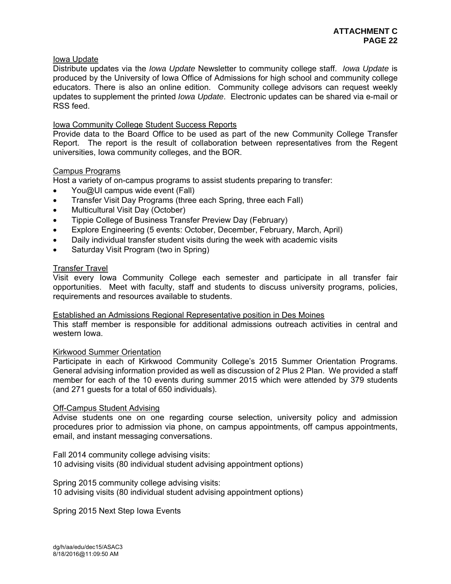# Iowa Update

Distribute updates via the *Iowa Update* Newsletter to community college staff. *Iowa Update* is produced by the University of Iowa Office of Admissions for high school and community college educators. There is also an online edition. Community college advisors can request weekly updates to supplement the printed *Iowa Update*. Electronic updates can be shared via e-mail or RSS feed.

# Iowa Community College Student Success Reports

Provide data to the Board Office to be used as part of the new Community College Transfer Report. The report is the result of collaboration between representatives from the Regent universities, Iowa community colleges, and the BOR.

# Campus Programs

Host a variety of on-campus programs to assist students preparing to transfer:

- You@UI campus wide event (Fall)
- Transfer Visit Day Programs (three each Spring, three each Fall)
- Multicultural Visit Day (October)
- Tippie College of Business Transfer Preview Day (February)
- Explore Engineering (5 events: October, December, February, March, April)
- Daily individual transfer student visits during the week with academic visits
- Saturday Visit Program (two in Spring)

#### Transfer Travel

Visit every Iowa Community College each semester and participate in all transfer fair opportunities. Meet with faculty, staff and students to discuss university programs, policies, requirements and resources available to students.

#### Established an Admissions Regional Representative position in Des Moines

This staff member is responsible for additional admissions outreach activities in central and western Iowa.

#### Kirkwood Summer Orientation

Participate in each of Kirkwood Community College's 2015 Summer Orientation Programs. General advising information provided as well as discussion of 2 Plus 2 Plan. We provided a staff member for each of the 10 events during summer 2015 which were attended by 379 students (and 271 guests for a total of 650 individuals).

#### Off-Campus Student Advising

Advise students one on one regarding course selection, university policy and admission procedures prior to admission via phone, on campus appointments, off campus appointments, email, and instant messaging conversations.

Fall 2014 community college advising visits: 10 advising visits (80 individual student advising appointment options)

Spring 2015 community college advising visits: 10 advising visits (80 individual student advising appointment options)

Spring 2015 Next Step Iowa Events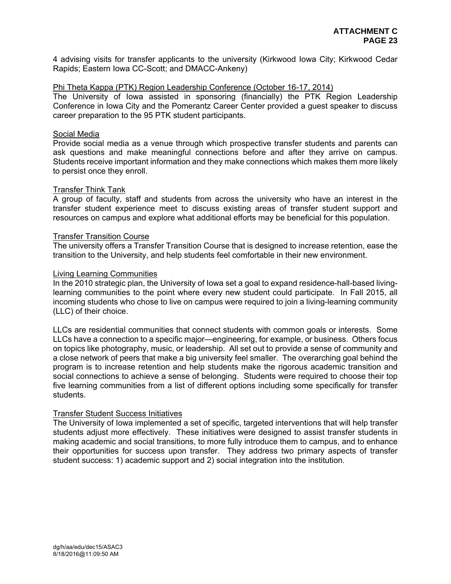4 advising visits for transfer applicants to the university (Kirkwood Iowa City; Kirkwood Cedar Rapids; Eastern Iowa CC-Scott; and DMACC-Ankeny)

#### Phi Theta Kappa (PTK) Region Leadership Conference (October 16-17, 2014)

The University of Iowa assisted in sponsoring (financially) the PTK Region Leadership Conference in Iowa City and the Pomerantz Career Center provided a guest speaker to discuss career preparation to the 95 PTK student participants.

#### Social Media

Provide social media as a venue through which prospective transfer students and parents can ask questions and make meaningful connections before and after they arrive on campus. Students receive important information and they make connections which makes them more likely to persist once they enroll.

#### Transfer Think Tank

A group of faculty, staff and students from across the university who have an interest in the transfer student experience meet to discuss existing areas of transfer student support and resources on campus and explore what additional efforts may be beneficial for this population.

#### Transfer Transition Course

The university offers a Transfer Transition Course that is designed to increase retention, ease the transition to the University, and help students feel comfortable in their new environment.

#### Living Learning Communities

In the 2010 strategic plan, the University of Iowa set a goal to expand residence-hall-based livinglearning communities to the point where every new student could participate. In Fall 2015, all incoming students who chose to live on campus were required to join a living-learning community (LLC) of their choice.

LLCs are residential communities that connect students with common goals or interests. Some LLCs have a connection to a specific major—engineering, for example, or business. Others focus on topics like photography, music, or leadership. All set out to provide a sense of community and a close network of peers that make a big university feel smaller. The overarching goal behind the program is to increase retention and help students make the rigorous academic transition and social connections to achieve a sense of belonging. Students were required to choose their top five learning communities from a list of different options including some specifically for transfer students.

#### Transfer Student Success Initiatives

The University of Iowa implemented a set of specific, targeted interventions that will help transfer students adjust more effectively. These initiatives were designed to assist transfer students in making academic and social transitions, to more fully introduce them to campus, and to enhance their opportunities for success upon transfer. They address two primary aspects of transfer student success: 1) academic support and 2) social integration into the institution.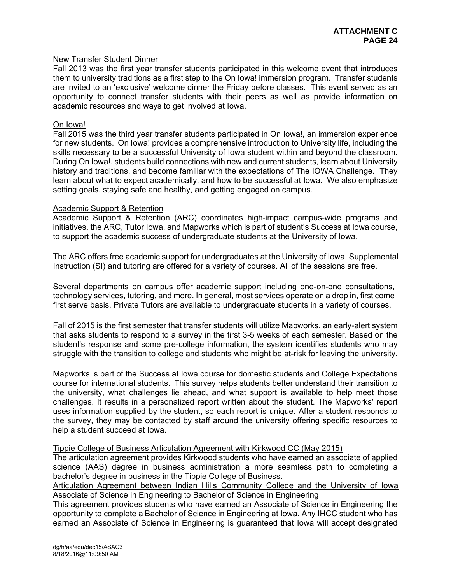#### New Transfer Student Dinner

Fall 2013 was the first year transfer students participated in this welcome event that introduces them to university traditions as a first step to the On Iowa! immersion program. Transfer students are invited to an 'exclusive' welcome dinner the Friday before classes. This event served as an opportunity to connect transfer students with their peers as well as provide information on academic resources and ways to get involved at Iowa.

#### On Iowa!

Fall 2015 was the third year transfer students participated in On Iowa!, an immersion experience for new students. On Iowa! provides a comprehensive introduction to University life, including the skills necessary to be a successful University of Iowa student within and beyond the classroom. During On Iowa!, students build connections with new and current students, learn about University history and traditions, and become familiar with the expectations of The IOWA Challenge. They learn about what to expect academically, and how to be successful at Iowa. We also emphasize setting goals, staying safe and healthy, and getting engaged on campus.

#### Academic Support & Retention

Academic Support & Retention (ARC) coordinates high-impact campus-wide programs and initiatives, the ARC, Tutor Iowa, and Mapworks which is part of student's Success at Iowa course, to support the academic success of undergraduate students at the University of Iowa.

The ARC offers free academic support for undergraduates at the University of Iowa. Supplemental Instruction (SI) and tutoring are offered for a variety of courses. All of the sessions are free.

Several departments on campus offer academic support including one-on-one consultations, technology services, tutoring, and more. In general, most services operate on a drop in, first come first serve basis. Private Tutors are available to undergraduate students in a variety of courses.

Fall of 2015 is the first semester that transfer students will utilize Mapworks, an early-alert system that asks students to respond to a survey in the first 3-5 weeks of each semester. Based on the student's response and some pre-college information, the system identifies students who may struggle with the transition to college and students who might be at-risk for leaving the university.

Mapworks is part of the Success at Iowa course for domestic students and College Expectations course for international students. This survey helps students better understand their transition to the university, what challenges lie ahead, and what support is available to help meet those challenges. It results in a personalized report written about the student. The Mapworks' report uses information supplied by the student, so each report is unique. After a student responds to the survey, they may be contacted by staff around the university offering specific resources to help a student succeed at Iowa.

#### Tippie College of Business Articulation Agreement with Kirkwood CC (May 2015)

The articulation agreement provides Kirkwood students who have earned an associate of applied science (AAS) degree in business administration a more seamless path to completing a bachelor's degree in business in the Tippie College of Business.

Articulation Agreement between Indian Hills Community College and the University of Iowa Associate of Science in Engineering to Bachelor of Science in Engineering

This agreement provides students who have earned an Associate of Science in Engineering the opportunity to complete a Bachelor of Science in Engineering at Iowa. Any IHCC student who has earned an Associate of Science in Engineering is guaranteed that Iowa will accept designated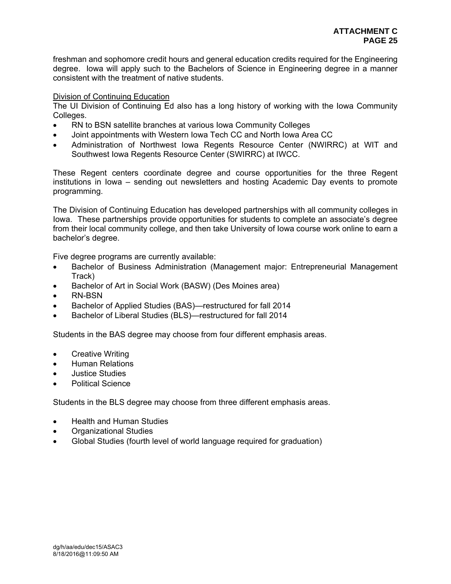freshman and sophomore credit hours and general education credits required for the Engineering degree. Iowa will apply such to the Bachelors of Science in Engineering degree in a manner consistent with the treatment of native students.

#### Division of Continuing Education

The UI Division of Continuing Ed also has a long history of working with the Iowa Community Colleges.

- RN to BSN satellite branches at various Iowa Community Colleges
- Joint appointments with Western Iowa Tech CC and North Iowa Area CC
- Administration of Northwest Iowa Regents Resource Center (NWIRRC) at WIT and Southwest Iowa Regents Resource Center (SWIRRC) at IWCC.

These Regent centers coordinate degree and course opportunities for the three Regent institutions in Iowa – sending out newsletters and hosting Academic Day events to promote programming.

The Division of Continuing Education has developed partnerships with all community colleges in Iowa. These partnerships provide opportunities for students to complete an associate's degree from their local community college, and then take University of Iowa course work online to earn a bachelor's degree.

Five degree programs are currently available:

- Bachelor of Business Administration (Management major: Entrepreneurial Management Track)
- Bachelor of Art in Social Work (BASW) (Des Moines area)
- RN-BSN
- Bachelor of Applied Studies (BAS)—restructured for fall 2014
- Bachelor of Liberal Studies (BLS)—restructured for fall 2014

Students in the BAS degree may choose from four different emphasis areas.

- Creative Writing
- Human Relations
- Justice Studies
- Political Science

Students in the BLS degree may choose from three different emphasis areas.

- Health and Human Studies
- Organizational Studies
- Global Studies (fourth level of world language required for graduation)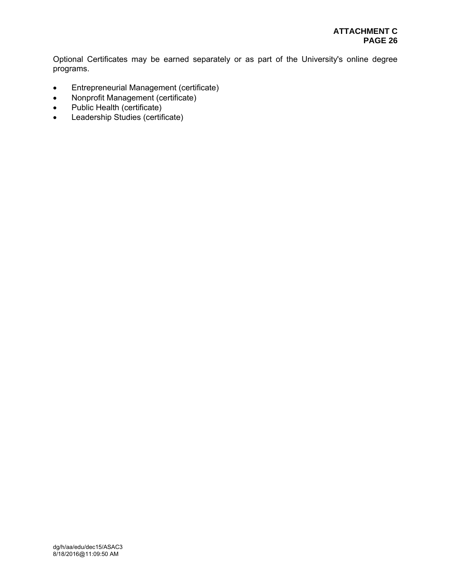Optional Certificates may be earned separately or as part of the University's online degree programs.

- Entrepreneurial Management (certificate)
- Nonprofit Management (certificate)
- Public Health (certificate)
- Leadership Studies (certificate)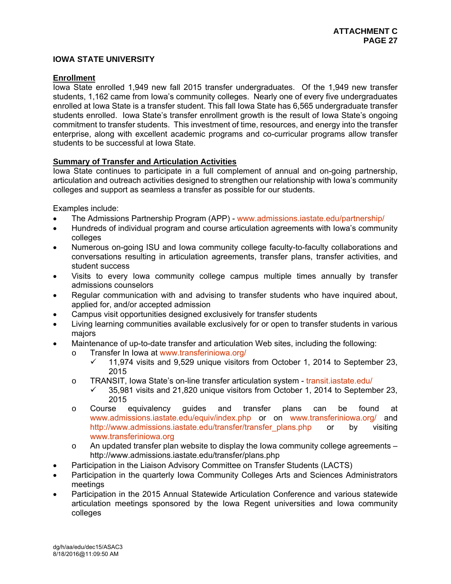# **IOWA STATE UNIVERSITY**

# **Enrollment**

Iowa State enrolled 1,949 new fall 2015 transfer undergraduates. Of the 1,949 new transfer students, 1,162 came from Iowa's community colleges. Nearly one of every five undergraduates enrolled at Iowa State is a transfer student. This fall Iowa State has 6,565 undergraduate transfer students enrolled. Iowa State's transfer enrollment growth is the result of Iowa State's ongoing commitment to transfer students. This investment of time, resources, and energy into the transfer enterprise, along with excellent academic programs and co-curricular programs allow transfer students to be successful at Iowa State.

# **Summary of Transfer and Articulation Activities**

Iowa State continues to participate in a full complement of annual and on-going partnership, articulation and outreach activities designed to strengthen our relationship with Iowa's community colleges and support as seamless a transfer as possible for our students.

Examples include:

- The Admissions Partnership Program (APP) www.admissions.iastate.edu/partnership/
- Hundreds of individual program and course articulation agreements with Iowa's community colleges
- Numerous on-going ISU and Iowa community college faculty-to-faculty collaborations and conversations resulting in articulation agreements, transfer plans, transfer activities, and student success
- Visits to every Iowa community college campus multiple times annually by transfer admissions counselors
- Regular communication with and advising to transfer students who have inquired about, applied for, and/or accepted admission
- Campus visit opportunities designed exclusively for transfer students
- Living learning communities available exclusively for or open to transfer students in various majors
- Maintenance of up-to-date transfer and articulation Web sites, including the following:
	- o Transfer In Iowa at www.transferiniowa.org/
		- $\checkmark$  11,974 visits and 9,529 unique visitors from October 1, 2014 to September 23, 2015
	- o TRANSIT, Iowa State's on-line transfer articulation system transit.iastate.edu/
		- $\checkmark$  35,981 visits and 21,820 unique visitors from October 1, 2014 to September 23, 2015
	- o Course equivalency guides and transfer plans can be found at www.admissions.iastate.edu/equiv/index.php or on www.transferiniowa.org/ and http://www.admissions.iastate.edu/transfer/transfer\_plans.php or by visiting www.transferiniowa.org
	- o An updated transfer plan website to display the Iowa community college agreements http://www.admissions.iastate.edu/transfer/plans.php
- Participation in the Liaison Advisory Committee on Transfer Students (LACTS)
- Participation in the quarterly Iowa Community Colleges Arts and Sciences Administrators meetings
- Participation in the 2015 Annual Statewide Articulation Conference and various statewide articulation meetings sponsored by the Iowa Regent universities and Iowa community colleges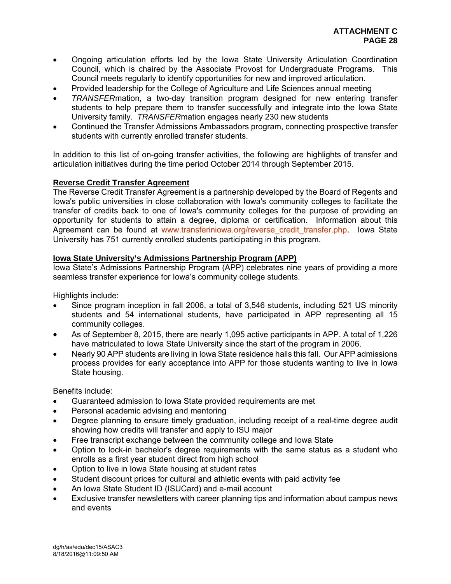- Ongoing articulation efforts led by the Iowa State University Articulation Coordination Council, which is chaired by the Associate Provost for Undergraduate Programs. This Council meets regularly to identify opportunities for new and improved articulation.
- Provided leadership for the College of Agriculture and Life Sciences annual meeting
- *TRANSFER*mation, a two-day transition program designed for new entering transfer students to help prepare them to transfer successfully and integrate into the Iowa State University family. *TRANSFER*mation engages nearly 230 new students
- Continued the Transfer Admissions Ambassadors program, connecting prospective transfer students with currently enrolled transfer students.

In addition to this list of on-going transfer activities, the following are highlights of transfer and articulation initiatives during the time period October 2014 through September 2015.

# **Reverse Credit Transfer Agreement**

The Reverse Credit Transfer Agreement is a partnership developed by the Board of Regents and Iowa's public universities in close collaboration with Iowa's community colleges to facilitate the transfer of credits back to one of Iowa's community colleges for the purpose of providing an opportunity for students to attain a degree, diploma or certification. Information about this Agreement can be found at www.transferiniowa.org/reverse credit transfer.php. Iowa State University has 751 currently enrolled students participating in this program.

# **Iowa State University's Admissions Partnership Program (APP)**

Iowa State's Admissions Partnership Program (APP) celebrates nine years of providing a more seamless transfer experience for Iowa's community college students.

Highlights include:

- Since program inception in fall 2006, a total of 3,546 students, including 521 US minority students and 54 international students, have participated in APP representing all 15 community colleges.
- As of September 8, 2015, there are nearly 1,095 active participants in APP. A total of 1,226 have matriculated to Iowa State University since the start of the program in 2006.
- Nearly 90 APP students are living in Iowa State residence halls this fall. Our APP admissions process provides for early acceptance into APP for those students wanting to live in Iowa State housing.

Benefits include:

- Guaranteed admission to Iowa State provided requirements are met
- Personal academic advising and mentoring
- Degree planning to ensure timely graduation, including receipt of a real-time degree audit showing how credits will transfer and apply to ISU major
- Free transcript exchange between the community college and Iowa State
- Option to lock-in bachelor's degree requirements with the same status as a student who enrolls as a first year student direct from high school
- Option to live in Iowa State housing at student rates
- Student discount prices for cultural and athletic events with paid activity fee
- An Iowa State Student ID (ISUCard) and e-mail account
- Exclusive transfer newsletters with career planning tips and information about campus news and events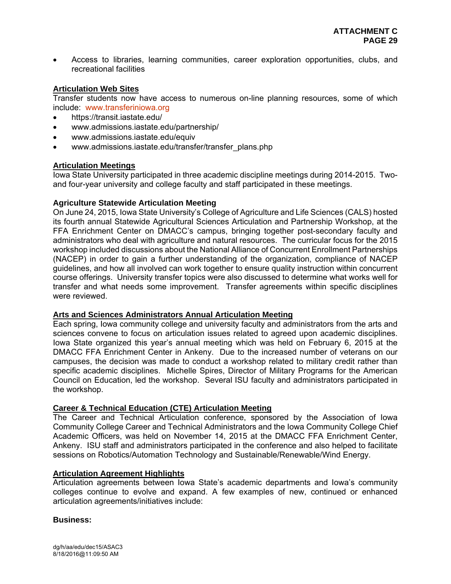Access to libraries, learning communities, career exploration opportunities, clubs, and recreational facilities

# **Articulation Web Sites**

Transfer students now have access to numerous on-line planning resources, some of which include: www.transferiniowa.org

- https://transit.iastate.edu/
- www.admissions.iastate.edu/partnership/
- www.admissions.iastate.edu/equiv
- www.admissions.iastate.edu/transfer/transfer\_plans.php

#### **Articulation Meetings**

Iowa State University participated in three academic discipline meetings during 2014-2015. Twoand four-year university and college faculty and staff participated in these meetings.

#### **Agriculture Statewide Articulation Meeting**

On June 24, 2015, Iowa State University's College of Agriculture and Life Sciences (CALS) hosted its fourth annual Statewide Agricultural Sciences Articulation and Partnership Workshop, at the FFA Enrichment Center on DMACC's campus, bringing together post-secondary faculty and administrators who deal with agriculture and natural resources. The curricular focus for the 2015 workshop included discussions about the National Alliance of Concurrent Enrollment Partnerships (NACEP) in order to gain a further understanding of the organization, compliance of NACEP guidelines, and how all involved can work together to ensure quality instruction within concurrent course offerings. University transfer topics were also discussed to determine what works well for transfer and what needs some improvement. Transfer agreements within specific disciplines were reviewed.

#### **Arts and Sciences Administrators Annual Articulation Meeting**

Each spring, Iowa community college and university faculty and administrators from the arts and sciences convene to focus on articulation issues related to agreed upon academic disciplines. Iowa State organized this year's annual meeting which was held on February 6, 2015 at the DMACC FFA Enrichment Center in Ankeny. Due to the increased number of veterans on our campuses, the decision was made to conduct a workshop related to military credit rather than specific academic disciplines. Michelle Spires, Director of Military Programs for the American Council on Education, led the workshop. Several ISU faculty and administrators participated in the workshop.

#### **Career & Technical Education (CTE) Articulation Meeting**

The Career and Technical Articulation conference, sponsored by the Association of Iowa Community College Career and Technical Administrators and the Iowa Community College Chief Academic Officers, was held on November 14, 2015 at the DMACC FFA Enrichment Center, Ankeny. ISU staff and administrators participated in the conference and also helped to facilitate sessions on Robotics/Automation Technology and Sustainable/Renewable/Wind Energy.

#### **Articulation Agreement Highlights**

Articulation agreements between Iowa State's academic departments and Iowa's community colleges continue to evolve and expand. A few examples of new, continued or enhanced articulation agreements/initiatives include:

#### **Business:**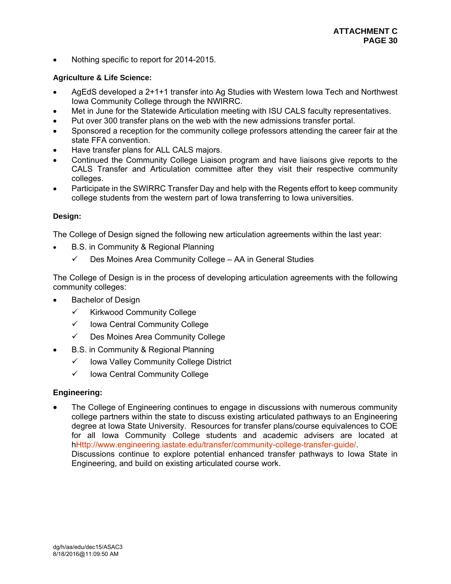Nothing specific to report for 2014-2015.

# **Agriculture & Life Science:**

- AgEdS developed a 2+1+1 transfer into Ag Studies with Western Iowa Tech and Northwest Iowa Community College through the NWIRRC.
- Met in June for the Statewide Articulation meeting with ISU CALS faculty representatives.
- Put over 300 transfer plans on the web with the new admissions transfer portal.
- Sponsored a reception for the community college professors attending the career fair at the state FFA convention.
- Have transfer plans for ALL CALS majors.
- Continued the Community College Liaison program and have liaisons give reports to the CALS Transfer and Articulation committee after they visit their respective community colleges.
- Participate in the SWIRRC Transfer Day and help with the Regents effort to keep community college students from the western part of Iowa transferring to Iowa universities.

# **Design:**

The College of Design signed the following new articulation agreements within the last year:

- B.S. in Community & Regional Planning
	- $\checkmark$  Des Moines Area Community College AA in General Studies

The College of Design is in the process of developing articulation agreements with the following community colleges:

- Bachelor of Design
	- $\checkmark$  Kirkwood Community College
	- $\checkmark$  lowa Central Community College
	- Des Moines Area Community College
- B.S. in Community & Regional Planning
	- $\checkmark$  lowa Valley Community College District
	- $\checkmark$  lowa Central Community College

# **Engineering:**

 The College of Engineering continues to engage in discussions with numerous community college partners within the state to discuss existing articulated pathways to an Engineering degree at Iowa State University. Resources for transfer plans/course equivalences to COE for all Iowa Community College students and academic advisers are located at hHttp://www.engineering.iastate.edu/transfer/community-college-transfer-guide/. Discussions continue to explore potential enhanced transfer pathways to Iowa State in Engineering, and build on existing articulated course work.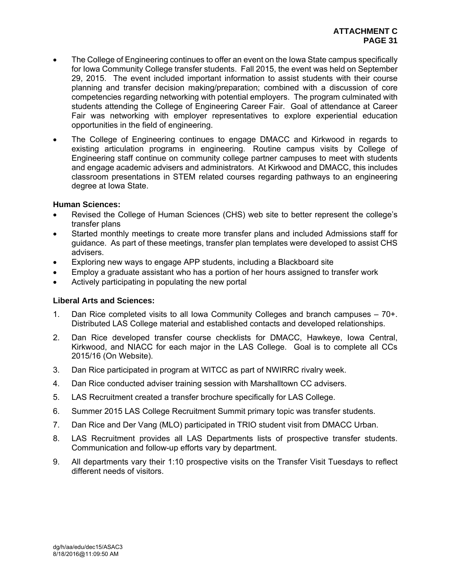- The College of Engineering continues to offer an event on the Iowa State campus specifically for Iowa Community College transfer students. Fall 2015, the event was held on September 29, 2015. The event included important information to assist students with their course planning and transfer decision making/preparation; combined with a discussion of core competencies regarding networking with potential employers. The program culminated with students attending the College of Engineering Career Fair. Goal of attendance at Career Fair was networking with employer representatives to explore experiential education opportunities in the field of engineering.
- The College of Engineering continues to engage DMACC and Kirkwood in regards to existing articulation programs in engineering. Routine campus visits by College of Engineering staff continue on community college partner campuses to meet with students and engage academic advisers and administrators. At Kirkwood and DMACC, this includes classroom presentations in STEM related courses regarding pathways to an engineering degree at Iowa State.

# **Human Sciences:**

- Revised the College of Human Sciences (CHS) web site to better represent the college's transfer plans
- Started monthly meetings to create more transfer plans and included Admissions staff for guidance. As part of these meetings, transfer plan templates were developed to assist CHS advisers.
- Exploring new ways to engage APP students, including a Blackboard site
- Employ a graduate assistant who has a portion of her hours assigned to transfer work
- Actively participating in populating the new portal

#### **Liberal Arts and Sciences:**

- 1. Dan Rice completed visits to all Iowa Community Colleges and branch campuses 70+. Distributed LAS College material and established contacts and developed relationships.
- 2. Dan Rice developed transfer course checklists for DMACC, Hawkeye, Iowa Central, Kirkwood, and NIACC for each major in the LAS College. Goal is to complete all CCs 2015/16 (On Website).
- 3. Dan Rice participated in program at WITCC as part of NWIRRC rivalry week.
- 4. Dan Rice conducted adviser training session with Marshalltown CC advisers.
- 5. LAS Recruitment created a transfer brochure specifically for LAS College.
- 6. Summer 2015 LAS College Recruitment Summit primary topic was transfer students.
- 7. Dan Rice and Der Vang (MLO) participated in TRIO student visit from DMACC Urban.
- 8. LAS Recruitment provides all LAS Departments lists of prospective transfer students. Communication and follow-up efforts vary by department.
- 9. All departments vary their 1:10 prospective visits on the Transfer Visit Tuesdays to reflect different needs of visitors.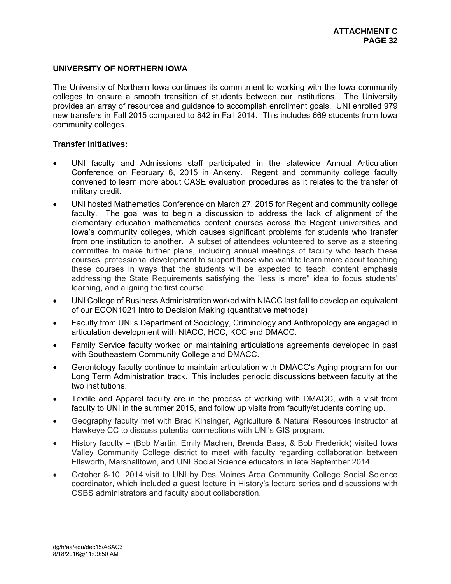# **UNIVERSITY OF NORTHERN IOWA**

The University of Northern Iowa continues its commitment to working with the Iowa community colleges to ensure a smooth transition of students between our institutions. The University provides an array of resources and guidance to accomplish enrollment goals. UNI enrolled 979 new transfers in Fall 2015 compared to 842 in Fall 2014. This includes 669 students from Iowa community colleges.

#### **Transfer initiatives:**

- UNI faculty and Admissions staff participated in the statewide Annual Articulation Conference on February 6, 2015 in Ankeny. Regent and community college faculty convened to learn more about CASE evaluation procedures as it relates to the transfer of military credit.
- UNI hosted Mathematics Conference on March 27, 2015 for Regent and community college faculty. The goal was to begin a discussion to address the lack of alignment of the elementary education mathematics content courses across the Regent universities and Iowa's community colleges, which causes significant problems for students who transfer from one institution to another. A subset of attendees volunteered to serve as a steering committee to make further plans, including annual meetings of faculty who teach these courses, professional development to support those who want to learn more about teaching these courses in ways that the students will be expected to teach, content emphasis addressing the State Requirements satisfying the "less is more" idea to focus students' learning, and aligning the first course.
- UNI College of Business Administration worked with NIACC last fall to develop an equivalent of our ECON1021 Intro to Decision Making (quantitative methods)
- Faculty from UNI's Department of Sociology, Criminology and Anthropology are engaged in articulation development with NIACC, HCC, KCC and DMACC.
- Family Service faculty worked on maintaining articulations agreements developed in past with Southeastern Community College and DMACC.
- Gerontology faculty continue to maintain articulation with DMACC's Aging program for our Long Term Administration track. This includes periodic discussions between faculty at the two institutions.
- Textile and Apparel faculty are in the process of working with DMACC, with a visit from faculty to UNI in the summer 2015, and follow up visits from faculty/students coming up.
- Geography faculty met with Brad Kinsinger, Agriculture & Natural Resources instructor at Hawkeye CC to discuss potential connections with UNI's GIS program.
- History faculty(Bob Martin, Emily Machen, Brenda Bass, & Bob Frederick) visited Iowa Valley Community College district to meet with faculty regarding collaboration between Ellsworth, Marshalltown, and UNI Social Science educators in late September 2014.
- October 8-10, 2014 visit to UNI by Des Moines Area Community College Social Science coordinator, which included a guest lecture in History's lecture series and discussions with CSBS administrators and faculty about collaboration.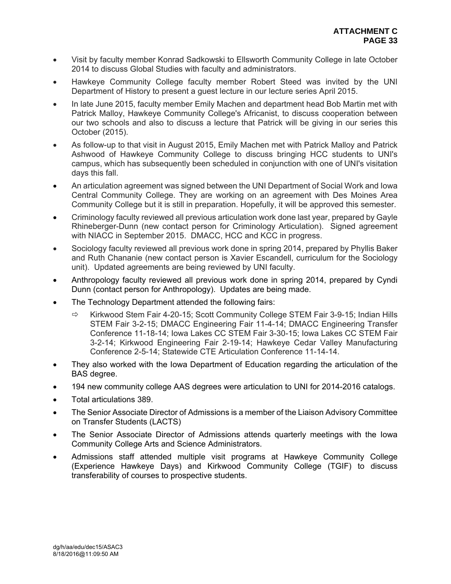- Visit by faculty member Konrad Sadkowski to Ellsworth Community College in late October 2014 to discuss Global Studies with faculty and administrators.
- Hawkeye Community College faculty member Robert Steed was invited by the UNI Department of History to present a guest lecture in our lecture series April 2015.
- In late June 2015, faculty member Emily Machen and department head Bob Martin met with Patrick Malloy, Hawkeye Community College's Africanist, to discuss cooperation between our two schools and also to discuss a lecture that Patrick will be giving in our series this October (2015).
- As follow-up to that visit in August 2015, Emily Machen met with Patrick Malloy and Patrick Ashwood of Hawkeye Community College to discuss bringing HCC students to UNI's campus, which has subsequently been scheduled in conjunction with one of UNI's visitation days this fall.
- An articulation agreement was signed between the UNI Department of Social Work and Iowa Central Community College. They are working on an agreement with Des Moines Area Community College but it is still in preparation. Hopefully, it will be approved this semester.
- Criminology faculty reviewed all previous articulation work done last year, prepared by Gayle Rhineberger-Dunn (new contact person for Criminology Articulation). Signed agreement with NIACC in September 2015. DMACC, HCC and KCC in progress.
- Sociology faculty reviewed all previous work done in spring 2014, prepared by Phyllis Baker and Ruth Chananie (new contact person is Xavier Escandell, curriculum for the Sociology unit). Updated agreements are being reviewed by UNI faculty.
- Anthropology faculty reviewed all previous work done in spring 2014, prepared by Cyndi Dunn (contact person for Anthropology). Updates are being made.
- The Technology Department attended the following fairs:
	- $\Rightarrow$  Kirkwood Stem Fair 4-20-15; Scott Community College STEM Fair 3-9-15; Indian Hills STEM Fair 3-2-15; DMACC Engineering Fair 11-4-14; DMACC Engineering Transfer Conference 11-18-14; Iowa Lakes CC STEM Fair 3-30-15; Iowa Lakes CC STEM Fair 3-2-14; Kirkwood Engineering Fair 2-19-14; Hawkeye Cedar Valley Manufacturing Conference 2-5-14; Statewide CTE Articulation Conference 11-14-14.
- They also worked with the Iowa Department of Education regarding the articulation of the BAS degree.
- 194 new community college AAS degrees were articulation to UNI for 2014-2016 catalogs.
- Total articulations 389.
- The Senior Associate Director of Admissions is a member of the Liaison Advisory Committee on Transfer Students (LACTS)
- The Senior Associate Director of Admissions attends quarterly meetings with the Iowa Community College Arts and Science Administrators.
- Admissions staff attended multiple visit programs at Hawkeye Community College (Experience Hawkeye Days) and Kirkwood Community College (TGIF) to discuss transferability of courses to prospective students.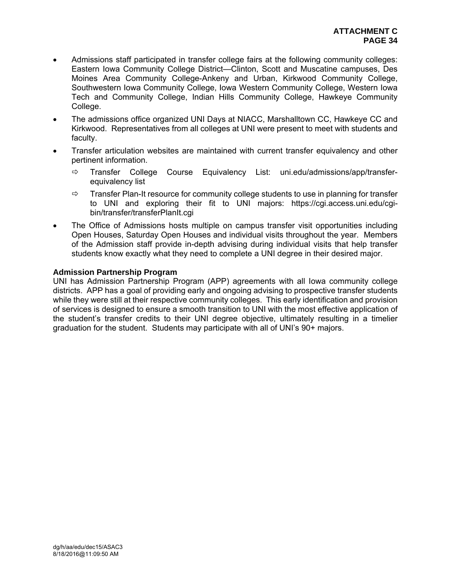- Admissions staff participated in transfer college fairs at the following community colleges: Eastern Iowa Community College District—Clinton, Scott and Muscatine campuses, Des Moines Area Community College-Ankeny and Urban, Kirkwood Community College, Southwestern Iowa Community College, Iowa Western Community College, Western Iowa Tech and Community College, Indian Hills Community College, Hawkeye Community College.
- The admissions office organized UNI Days at NIACC, Marshalltown CC, Hawkeye CC and Kirkwood. Representatives from all colleges at UNI were present to meet with students and faculty.
- Transfer articulation websites are maintained with current transfer equivalency and other pertinent information.
	- $\Rightarrow$  Transfer College Course Equivalency List: uni.edu/admissions/app/transferequivalency list
	- $\Rightarrow$  Transfer Plan-It resource for community college students to use in planning for transfer to UNI and exploring their fit to UNI majors: https://cgi.access.uni.edu/cgibin/transfer/transferPlanIt.cgi
- The Office of Admissions hosts multiple on campus transfer visit opportunities including Open Houses, Saturday Open Houses and individual visits throughout the year. Members of the Admission staff provide in-depth advising during individual visits that help transfer students know exactly what they need to complete a UNI degree in their desired major.

# **Admission Partnership Program**

UNI has Admission Partnership Program (APP) agreements with all Iowa community college districts. APP has a goal of providing early and ongoing advising to prospective transfer students while they were still at their respective community colleges. This early identification and provision of services is designed to ensure a smooth transition to UNI with the most effective application of the student's transfer credits to their UNI degree objective, ultimately resulting in a timelier graduation for the student. Students may participate with all of UNI's 90+ majors.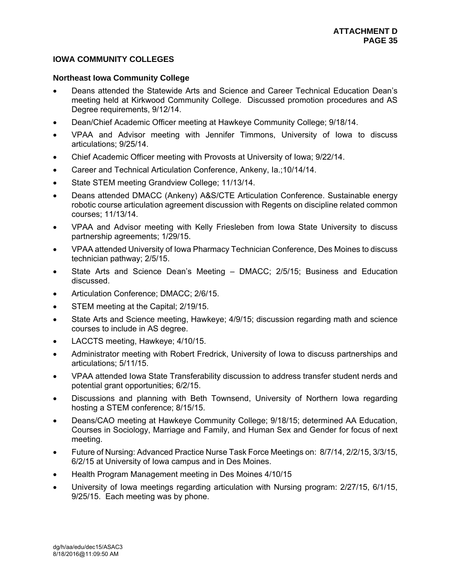# **IOWA COMMUNITY COLLEGES**

#### **Northeast Iowa Community College**

- Deans attended the Statewide Arts and Science and Career Technical Education Dean's meeting held at Kirkwood Community College. Discussed promotion procedures and AS Degree requirements, 9/12/14.
- Dean/Chief Academic Officer meeting at Hawkeye Community College; 9/18/14.
- VPAA and Advisor meeting with Jennifer Timmons, University of Iowa to discuss articulations; 9/25/14.
- Chief Academic Officer meeting with Provosts at University of Iowa; 9/22/14.
- **•** Career and Technical Articulation Conference, Ankeny, Ia.;10/14/14.
- State STEM meeting Grandview College; 11/13/14.
- Deans attended DMACC (Ankeny) A&S/CTE Articulation Conference. Sustainable energy robotic course articulation agreement discussion with Regents on discipline related common courses; 11/13/14.
- VPAA and Advisor meeting with Kelly Friesleben from Iowa State University to discuss partnership agreements; 1/29/15.
- VPAA attended University of Iowa Pharmacy Technician Conference, Des Moines to discuss technician pathway; 2/5/15.
- State Arts and Science Dean's Meeting DMACC; 2/5/15; Business and Education discussed.
- Articulation Conference; DMACC; 2/6/15.
- STEM meeting at the Capital; 2/19/15.
- State Arts and Science meeting, Hawkeye; 4/9/15; discussion regarding math and science courses to include in AS degree.
- LACCTS meeting, Hawkeye; 4/10/15.
- Administrator meeting with Robert Fredrick, University of Iowa to discuss partnerships and articulations; 5/11/15.
- VPAA attended Iowa State Transferability discussion to address transfer student nerds and potential grant opportunities; 6/2/15.
- Discussions and planning with Beth Townsend, University of Northern Iowa regarding hosting a STEM conference; 8/15/15.
- Deans/CAO meeting at Hawkeye Community College; 9/18/15; determined AA Education, Courses in Sociology, Marriage and Family, and Human Sex and Gender for focus of next meeting.
- Future of Nursing: Advanced Practice Nurse Task Force Meetings on: 8/7/14, 2/2/15, 3/3/15, 6/2/15 at University of Iowa campus and in Des Moines.
- Health Program Management meeting in Des Moines 4/10/15
- University of Iowa meetings regarding articulation with Nursing program: 2/27/15, 6/1/15, 9/25/15. Each meeting was by phone.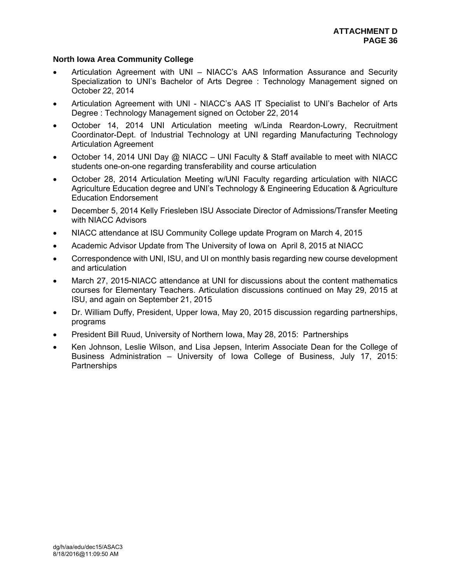# **North Iowa Area Community College**

- Articulation Agreement with UNI NIACC's AAS Information Assurance and Security Specialization to UNI's Bachelor of Arts Degree : Technology Management signed on October 22, 2014
- Articulation Agreement with UNI NIACC's AAS IT Specialist to UNI's Bachelor of Arts Degree : Technology Management signed on October 22, 2014
- October 14, 2014 UNI Articulation meeting w/Linda Reardon-Lowry, Recruitment Coordinator-Dept. of Industrial Technology at UNI regarding Manufacturing Technology Articulation Agreement
- October 14, 2014 UNI Day @ NIACC UNI Faculty & Staff available to meet with NIACC students one-on-one regarding transferability and course articulation
- October 28, 2014 Articulation Meeting w/UNI Faculty regarding articulation with NIACC Agriculture Education degree and UNI's Technology & Engineering Education & Agriculture Education Endorsement
- December 5, 2014 Kelly Friesleben ISU Associate Director of Admissions/Transfer Meeting with NIACC Advisors
- NIACC attendance at ISU Community College update Program on March 4, 2015
- Academic Advisor Update from The University of Iowa on April 8, 2015 at NIACC
- Correspondence with UNI, ISU, and UI on monthly basis regarding new course development and articulation
- March 27, 2015-NIACC attendance at UNI for discussions about the content mathematics courses for Elementary Teachers. Articulation discussions continued on May 29, 2015 at ISU, and again on September 21, 2015
- Dr. William Duffy, President, Upper Iowa, May 20, 2015 discussion regarding partnerships, programs
- President Bill Ruud, University of Northern Iowa, May 28, 2015: Partnerships
- Ken Johnson, Leslie Wilson, and Lisa Jepsen, Interim Associate Dean for the College of Business Administration – University of Iowa College of Business, July 17, 2015: **Partnerships**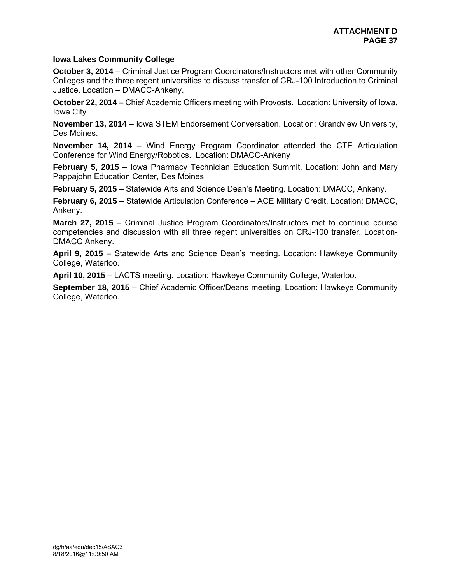# **Iowa Lakes Community College**

**October 3, 2014** – Criminal Justice Program Coordinators/Instructors met with other Community Colleges and the three regent universities to discuss transfer of CRJ-100 Introduction to Criminal Justice. Location – DMACC-Ankeny.

**October 22, 2014** – Chief Academic Officers meeting with Provosts. Location: University of Iowa, Iowa City

**November 13, 2014** – Iowa STEM Endorsement Conversation. Location: Grandview University, Des Moines.

**November 14, 2014** – Wind Energy Program Coordinator attended the CTE Articulation Conference for Wind Energy/Robotics. Location: DMACC-Ankeny

**February 5, 2015** – Iowa Pharmacy Technician Education Summit. Location: John and Mary Pappajohn Education Center, Des Moines

**February 5, 2015** – Statewide Arts and Science Dean's Meeting. Location: DMACC, Ankeny.

**February 6, 2015** – Statewide Articulation Conference – ACE Military Credit. Location: DMACC, Ankeny.

**March 27, 2015** – Criminal Justice Program Coordinators/Instructors met to continue course competencies and discussion with all three regent universities on CRJ-100 transfer. Location-DMACC Ankeny.

**April 9, 2015** – Statewide Arts and Science Dean's meeting. Location: Hawkeye Community College, Waterloo.

**April 10, 2015** – LACTS meeting. Location: Hawkeye Community College, Waterloo.

**September 18, 2015** – Chief Academic Officer/Deans meeting. Location: Hawkeye Community College, Waterloo.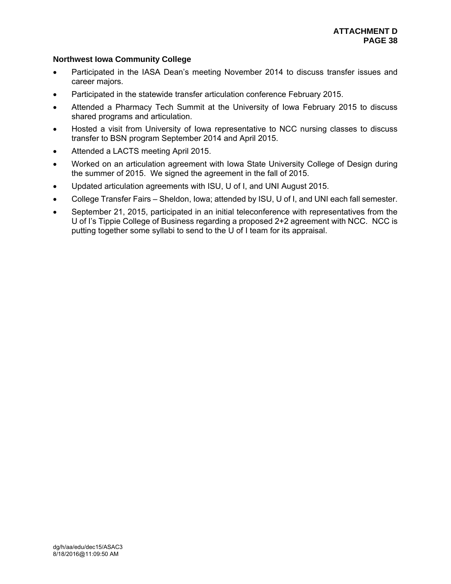# **Northwest Iowa Community College**

- Participated in the IASA Dean's meeting November 2014 to discuss transfer issues and career majors.
- Participated in the statewide transfer articulation conference February 2015.
- Attended a Pharmacy Tech Summit at the University of Iowa February 2015 to discuss shared programs and articulation.
- Hosted a visit from University of Iowa representative to NCC nursing classes to discuss transfer to BSN program September 2014 and April 2015.
- Attended a LACTS meeting April 2015.
- Worked on an articulation agreement with Iowa State University College of Design during the summer of 2015. We signed the agreement in the fall of 2015.
- Updated articulation agreements with ISU, U of I, and UNI August 2015.
- College Transfer Fairs Sheldon, Iowa; attended by ISU, U of I, and UNI each fall semester.
- September 21, 2015, participated in an initial teleconference with representatives from the U of I's Tippie College of Business regarding a proposed 2+2 agreement with NCC. NCC is putting together some syllabi to send to the U of I team for its appraisal.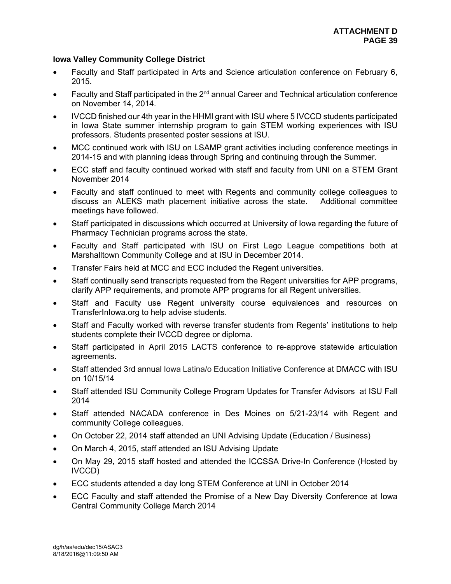# **Iowa Valley Community College District**

- Faculty and Staff participated in Arts and Science articulation conference on February 6, 2015.
- Faculty and Staff participated in the  $2<sup>nd</sup>$  annual Career and Technical articulation conference on November 14, 2014.
- IVCCD finished our 4th year in the HHMI grant with ISU where 5 IVCCD students participated in Iowa State summer internship program to gain STEM working experiences with ISU professors. Students presented poster sessions at ISU.
- MCC continued work with ISU on LSAMP grant activities including conference meetings in 2014-15 and with planning ideas through Spring and continuing through the Summer.
- ECC staff and faculty continued worked with staff and faculty from UNI on a STEM Grant November 2014
- Faculty and staff continued to meet with Regents and community college colleagues to discuss an ALEKS math placement initiative across the state. Additional committee meetings have followed.
- Staff participated in discussions which occurred at University of Iowa regarding the future of Pharmacy Technician programs across the state.
- Faculty and Staff participated with ISU on First Lego League competitions both at Marshalltown Community College and at ISU in December 2014.
- Transfer Fairs held at MCC and ECC included the Regent universities.
- Staff continually send transcripts requested from the Regent universities for APP programs, clarify APP requirements, and promote APP programs for all Regent universities.
- Staff and Faculty use Regent university course equivalences and resources on TransferInIowa.org to help advise students.
- Staff and Faculty worked with reverse transfer students from Regents' institutions to help students complete their IVCCD degree or diploma.
- Staff participated in April 2015 LACTS conference to re-approve statewide articulation agreements.
- Staff attended 3rd annual Iowa Latina/o Education Initiative Conference at DMACC with ISU on 10/15/14
- Staff attended ISU Community College Program Updates for Transfer Advisors at ISU Fall 2014
- Staff attended NACADA conference in Des Moines on 5/21-23/14 with Regent and community College colleagues.
- On October 22, 2014 staff attended an UNI Advising Update (Education / Business)
- On March 4, 2015, staff attended an ISU Advising Update
- On May 29, 2015 staff hosted and attended the ICCSSA Drive-In Conference (Hosted by IVCCD)
- ECC students attended a day long STEM Conference at UNI in October 2014
- ECC Faculty and staff attended the Promise of a New Day Diversity Conference at Iowa Central Community College March 2014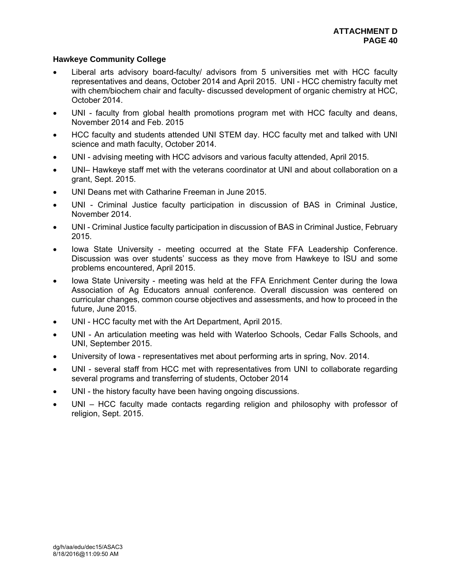# **Hawkeye Community College**

- Liberal arts advisory board-faculty/ advisors from 5 universities met with HCC faculty representatives and deans, October 2014 and April 2015. UNI - HCC chemistry faculty met with chem/biochem chair and faculty- discussed development of organic chemistry at HCC, October 2014.
- UNI faculty from global health promotions program met with HCC faculty and deans, November 2014 and Feb. 2015
- HCC faculty and students attended UNI STEM day. HCC faculty met and talked with UNI science and math faculty, October 2014.
- UNI advising meeting with HCC advisors and various faculty attended, April 2015.
- UNI– Hawkeye staff met with the veterans coordinator at UNI and about collaboration on a grant, Sept. 2015.
- UNI Deans met with Catharine Freeman in June 2015.
- UNI Criminal Justice faculty participation in discussion of BAS in Criminal Justice, November 2014.
- UNI Criminal Justice faculty participation in discussion of BAS in Criminal Justice, February 2015.
- Iowa State University meeting occurred at the State FFA Leadership Conference. Discussion was over students' success as they move from Hawkeye to ISU and some problems encountered, April 2015.
- Iowa State University meeting was held at the FFA Enrichment Center during the Iowa Association of Ag Educators annual conference. Overall discussion was centered on curricular changes, common course objectives and assessments, and how to proceed in the future, June 2015.
- UNI HCC faculty met with the Art Department, April 2015.
- UNI An articulation meeting was held with Waterloo Schools, Cedar Falls Schools, and UNI, September 2015.
- University of Iowa representatives met about performing arts in spring, Nov. 2014.
- UNI several staff from HCC met with representatives from UNI to collaborate regarding several programs and transferring of students, October 2014
- UNI the history faculty have been having ongoing discussions.
- UNI HCC faculty made contacts regarding religion and philosophy with professor of religion, Sept. 2015.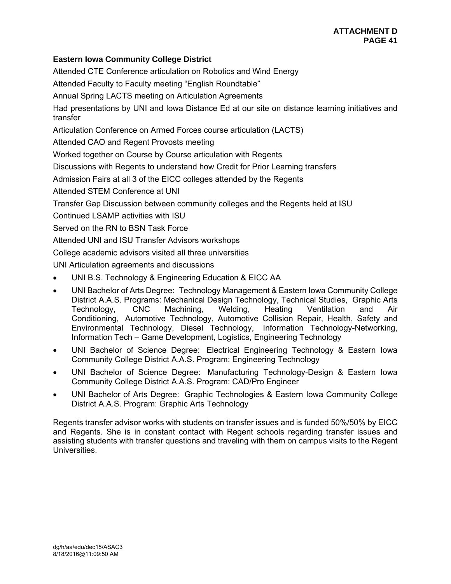# **Eastern Iowa Community College District**

Attended CTE Conference articulation on Robotics and Wind Energy

Attended Faculty to Faculty meeting "English Roundtable"

Annual Spring LACTS meeting on Articulation Agreements

Had presentations by UNI and Iowa Distance Ed at our site on distance learning initiatives and transfer

Articulation Conference on Armed Forces course articulation (LACTS)

Attended CAO and Regent Provosts meeting

Worked together on Course by Course articulation with Regents

Discussions with Regents to understand how Credit for Prior Learning transfers

Admission Fairs at all 3 of the EICC colleges attended by the Regents

Attended STEM Conference at UNI

Transfer Gap Discussion between community colleges and the Regents held at ISU

Continued LSAMP activities with ISU

Served on the RN to BSN Task Force

Attended UNI and ISU Transfer Advisors workshops

College academic advisors visited all three universities

UNI Articulation agreements and discussions

- UNI B.S. Technology & Engineering Education & EICC AA
- UNI Bachelor of Arts Degree: Technology Management & Eastern Iowa Community College District A.A.S. Programs: Mechanical Design Technology, Technical Studies, Graphic Arts Technology, CNC Machining, Welding, Heating Ventilation and Air Conditioning, Automotive Technology, Automotive Collision Repair, Health, Safety and Environmental Technology, Diesel Technology, Information Technology-Networking, Information Tech – Game Development, Logistics, Engineering Technology
- UNI Bachelor of Science Degree: Electrical Engineering Technology & Eastern Iowa Community College District A.A.S. Program: Engineering Technology
- UNI Bachelor of Science Degree: Manufacturing Technology-Design & Eastern Iowa Community College District A.A.S. Program: CAD/Pro Engineer
- UNI Bachelor of Arts Degree: Graphic Technologies & Eastern Iowa Community College District A.A.S. Program: Graphic Arts Technology

Regents transfer advisor works with students on transfer issues and is funded 50%/50% by EICC and Regents. She is in constant contact with Regent schools regarding transfer issues and assisting students with transfer questions and traveling with them on campus visits to the Regent **Universities**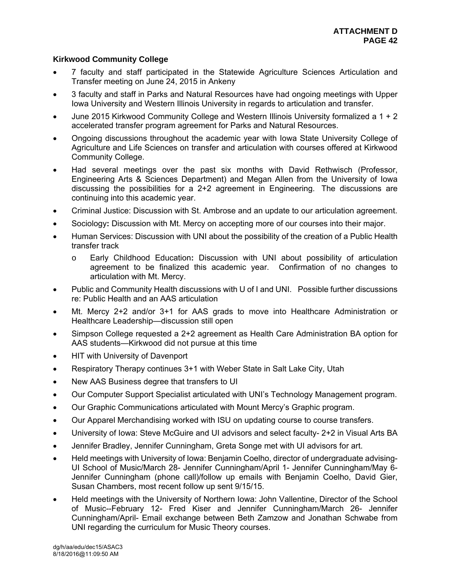# **Kirkwood Community College**

- 7 faculty and staff participated in the Statewide Agriculture Sciences Articulation and Transfer meeting on June 24, 2015 in Ankeny
- 3 faculty and staff in Parks and Natural Resources have had ongoing meetings with Upper Iowa University and Western Illinois University in regards to articulation and transfer.
- June 2015 Kirkwood Community College and Western Illinois University formalized a 1 + 2 accelerated transfer program agreement for Parks and Natural Resources.
- Ongoing discussions throughout the academic year with Iowa State University College of Agriculture and Life Sciences on transfer and articulation with courses offered at Kirkwood Community College.
- Had several meetings over the past six months with David Rethwisch (Professor, Engineering Arts & Sciences Department) and Megan Allen from the University of Iowa discussing the possibilities for a 2+2 agreement in Engineering. The discussions are continuing into this academic year.
- Criminal Justice: Discussion with St. Ambrose and an update to our articulation agreement.
- Sociology**:** Discussion with Mt. Mercy on accepting more of our courses into their major.
- Human Services: Discussion with UNI about the possibility of the creation of a Public Health transfer track
	- o Early Childhood Education**:** Discussion with UNI about possibility of articulation agreement to be finalized this academic year. Confirmation of no changes to articulation with Mt. Mercy.
- Public and Community Health discussions with U of I and UNI. Possible further discussions re: Public Health and an AAS articulation
- Mt. Mercy 2+2 and/or 3+1 for AAS grads to move into Healthcare Administration or Healthcare Leadership—discussion still open
- Simpson College requested a 2+2 agreement as Health Care Administration BA option for AAS students—Kirkwood did not pursue at this time
- HIT with University of Davenport
- Respiratory Therapy continues 3+1 with Weber State in Salt Lake City, Utah
- New AAS Business degree that transfers to UI
- Our Computer Support Specialist articulated with UNI's Technology Management program.
- Our Graphic Communications articulated with Mount Mercy's Graphic program.
- Our Apparel Merchandising worked with ISU on updating course to course transfers.
- University of Iowa: Steve McGuire and UI advisors and select faculty- 2+2 in Visual Arts BA
- Jennifer Bradley, Jennifer Cunningham, Greta Songe met with UI advisors for art.
- Held meetings with University of Iowa: Benjamin Coelho, director of undergraduate advising-UI School of Music/March 28- Jennifer Cunningham/April 1- Jennifer Cunningham/May 6- Jennifer Cunningham (phone call)/follow up emails with Benjamin Coelho, David Gier, Susan Chambers, most recent follow up sent 9/15/15.
- Held meetings with the University of Northern Iowa: John Vallentine, Director of the School of Music--February 12- Fred Kiser and Jennifer Cunningham/March 26- Jennifer Cunningham/April- Email exchange between Beth Zamzow and Jonathan Schwabe from UNI regarding the curriculum for Music Theory courses.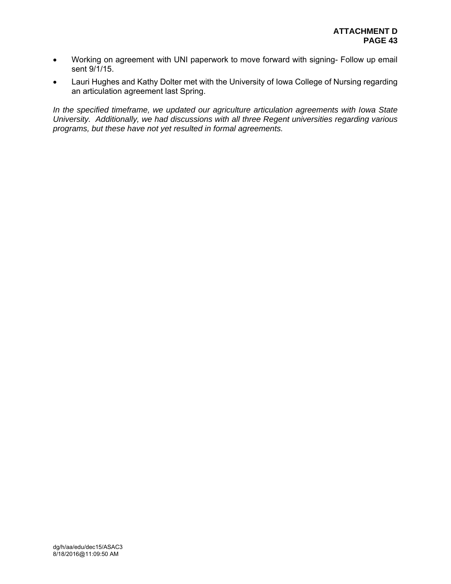- Working on agreement with UNI paperwork to move forward with signing- Follow up email sent 9/1/15.
- Lauri Hughes and Kathy Dolter met with the University of Iowa College of Nursing regarding an articulation agreement last Spring.

*In the specified timeframe, we updated our agriculture articulation agreements with Iowa State University. Additionally, we had discussions with all three Regent universities regarding various programs, but these have not yet resulted in formal agreements.*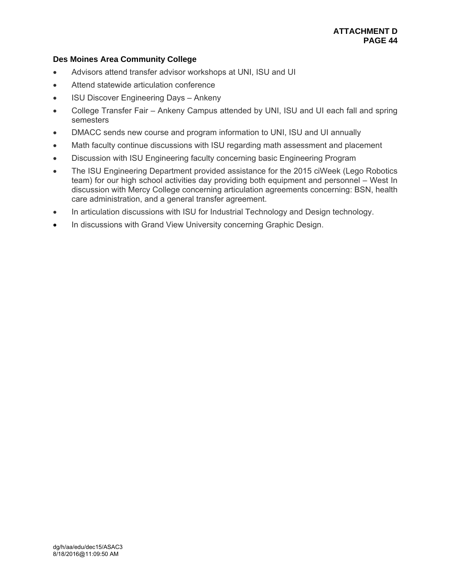# **Des Moines Area Community College**

- Advisors attend transfer advisor workshops at UNI, ISU and UI
- Attend statewide articulation conference
- ISU Discover Engineering Days Ankeny
- College Transfer Fair Ankeny Campus attended by UNI, ISU and UI each fall and spring semesters
- DMACC sends new course and program information to UNI, ISU and UI annually
- Math faculty continue discussions with ISU regarding math assessment and placement
- Discussion with ISU Engineering faculty concerning basic Engineering Program
- The ISU Engineering Department provided assistance for the 2015 ciWeek (Lego Robotics team) for our high school activities day providing both equipment and personnel – West In discussion with Mercy College concerning articulation agreements concerning: BSN, health care administration, and a general transfer agreement.
- In articulation discussions with ISU for Industrial Technology and Design technology.
- In discussions with Grand View University concerning Graphic Design.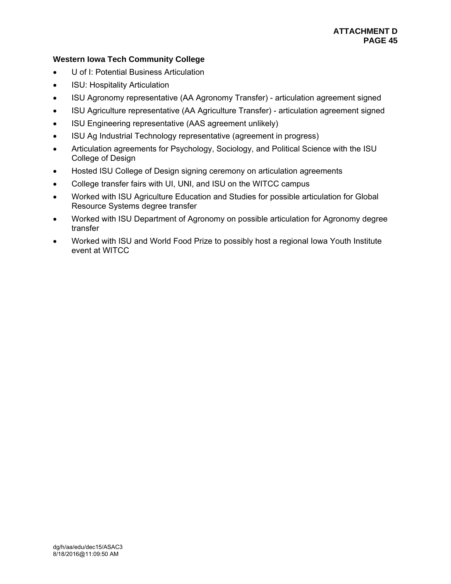# **Western Iowa Tech Community College**

- U of I: Potential Business Articulation
- ISU: Hospitality Articulation
- ISU Agronomy representative (AA Agronomy Transfer) articulation agreement signed
- ISU Agriculture representative (AA Agriculture Transfer) articulation agreement signed
- ISU Engineering representative (AAS agreement unlikely)
- ISU Ag Industrial Technology representative (agreement in progress)
- Articulation agreements for Psychology, Sociology, and Political Science with the ISU College of Design
- Hosted ISU College of Design signing ceremony on articulation agreements
- College transfer fairs with UI, UNI, and ISU on the WITCC campus
- Worked with ISU Agriculture Education and Studies for possible articulation for Global Resource Systems degree transfer
- Worked with ISU Department of Agronomy on possible articulation for Agronomy degree transfer
- Worked with ISU and World Food Prize to possibly host a regional Iowa Youth Institute event at WITCC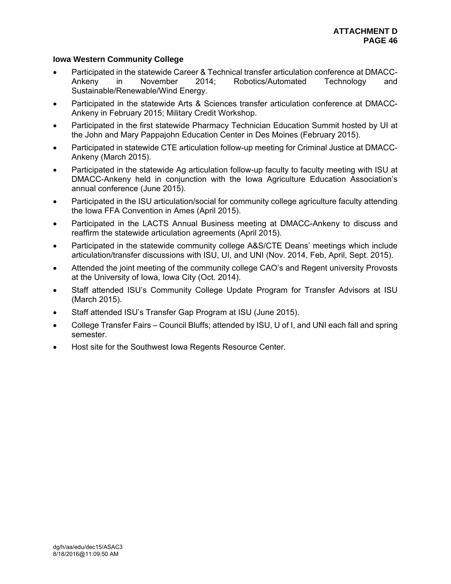# **Iowa Western Community College**

- Participated in the statewide Career & Technical transfer articulation conference at DMACC-Ankeny in November 2014; Robotics/Automated Technology and Sustainable/Renewable/Wind Energy.
- Participated in the statewide Arts & Sciences transfer articulation conference at DMACC-Ankeny in February 2015; Military Credit Workshop.
- Participated in the first statewide Pharmacy Technician Education Summit hosted by UI at the John and Mary Pappajohn Education Center in Des Moines (February 2015).
- Participated in statewide CTE articulation follow-up meeting for Criminal Justice at DMACC-Ankeny (March 2015).
- Participated in the statewide Ag articulation follow-up faculty to faculty meeting with ISU at DMACC-Ankeny held in conjunction with the Iowa Agriculture Education Association's annual conference (June 2015).
- Participated in the ISU articulation/social for community college agriculture faculty attending the Iowa FFA Convention in Ames (April 2015).
- Participated in the LACTS Annual Business meeting at DMACC-Ankeny to discuss and reaffirm the statewide articulation agreements (April 2015).
- Participated in the statewide community college A&S/CTE Deans' meetings which include articulation/transfer discussions with ISU, UI, and UNI (Nov. 2014, Feb, April, Sept. 2015).
- Attended the joint meeting of the community college CAO's and Regent university Provosts at the University of Iowa, Iowa City (Oct. 2014).
- Staff attended ISU's Community College Update Program for Transfer Advisors at ISU (March 2015).
- Staff attended ISU's Transfer Gap Program at ISU (June 2015).
- College Transfer Fairs Council Bluffs; attended by ISU, U of I, and UNI each fall and spring semester.
- Host site for the Southwest Iowa Regents Resource Center.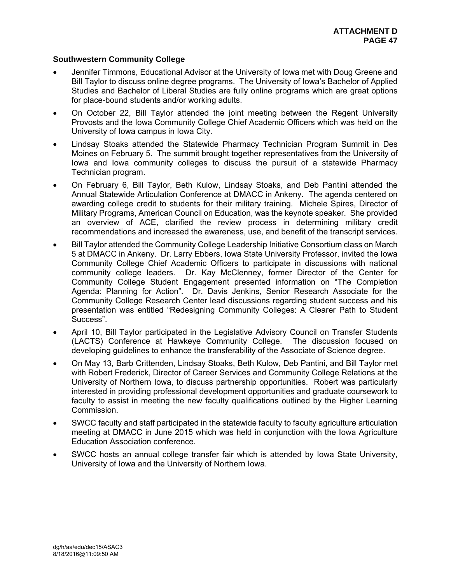# **Southwestern Community College**

- Jennifer Timmons, Educational Advisor at the University of Iowa met with Doug Greene and Bill Taylor to discuss online degree programs. The University of Iowa's Bachelor of Applied Studies and Bachelor of Liberal Studies are fully online programs which are great options for place-bound students and/or working adults.
- On October 22, Bill Taylor attended the joint meeting between the Regent University Provosts and the Iowa Community College Chief Academic Officers which was held on the University of Iowa campus in Iowa City.
- Lindsay Stoaks attended the Statewide Pharmacy Technician Program Summit in Des Moines on February 5. The summit brought together representatives from the University of Iowa and Iowa community colleges to discuss the pursuit of a statewide Pharmacy Technician program.
- On February 6, Bill Taylor, Beth Kulow, Lindsay Stoaks, and Deb Pantini attended the Annual Statewide Articulation Conference at DMACC in Ankeny. The agenda centered on awarding college credit to students for their military training. Michele Spires, Director of Military Programs, American Council on Education, was the keynote speaker. She provided an overview of ACE, clarified the review process in determining military credit recommendations and increased the awareness, use, and benefit of the transcript services.
- Bill Taylor attended the Community College Leadership Initiative Consortium class on March 5 at DMACC in Ankeny. Dr. Larry Ebbers, Iowa State University Professor, invited the Iowa Community College Chief Academic Officers to participate in discussions with national community college leaders. Dr. Kay McClenney, former Director of the Center for Community College Student Engagement presented information on "The Completion Agenda: Planning for Action". Dr. Davis Jenkins, Senior Research Associate for the Community College Research Center lead discussions regarding student success and his presentation was entitled "Redesigning Community Colleges: A Clearer Path to Student Success".
- April 10, Bill Taylor participated in the Legislative Advisory Council on Transfer Students (LACTS) Conference at Hawkeye Community College. The discussion focused on developing guidelines to enhance the transferability of the Associate of Science degree.
- On May 13, Barb Crittenden, Lindsay Stoaks, Beth Kulow, Deb Pantini, and Bill Taylor met with Robert Frederick, Director of Career Services and Community College Relations at the University of Northern Iowa, to discuss partnership opportunities. Robert was particularly interested in providing professional development opportunities and graduate coursework to faculty to assist in meeting the new faculty qualifications outlined by the Higher Learning Commission.
- SWCC faculty and staff participated in the statewide faculty to faculty agriculture articulation meeting at DMACC in June 2015 which was held in conjunction with the Iowa Agriculture Education Association conference.
- SWCC hosts an annual college transfer fair which is attended by Iowa State University, University of Iowa and the University of Northern Iowa.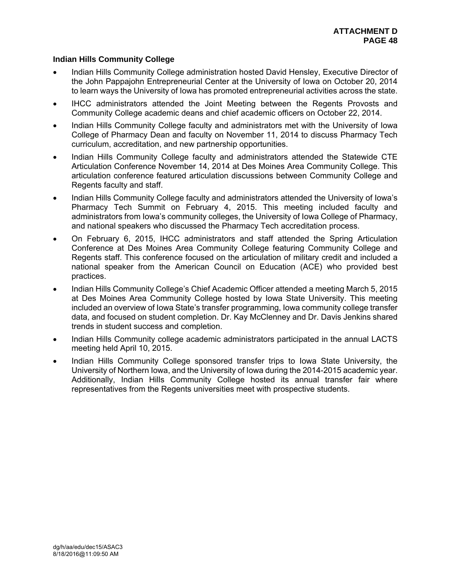# **Indian Hills Community College**

- Indian Hills Community College administration hosted David Hensley, Executive Director of the John Pappajohn Entrepreneurial Center at the University of Iowa on October 20, 2014 to learn ways the University of Iowa has promoted entrepreneurial activities across the state.
- IHCC administrators attended the Joint Meeting between the Regents Provosts and Community College academic deans and chief academic officers on October 22, 2014.
- Indian Hills Community College faculty and administrators met with the University of Iowa College of Pharmacy Dean and faculty on November 11, 2014 to discuss Pharmacy Tech curriculum, accreditation, and new partnership opportunities.
- Indian Hills Community College faculty and administrators attended the Statewide CTE Articulation Conference November 14, 2014 at Des Moines Area Community College. This articulation conference featured articulation discussions between Community College and Regents faculty and staff.
- Indian Hills Community College faculty and administrators attended the University of Iowa's Pharmacy Tech Summit on February 4, 2015. This meeting included faculty and administrators from Iowa's community colleges, the University of Iowa College of Pharmacy, and national speakers who discussed the Pharmacy Tech accreditation process.
- On February 6, 2015, IHCC administrators and staff attended the Spring Articulation Conference at Des Moines Area Community College featuring Community College and Regents staff. This conference focused on the articulation of military credit and included a national speaker from the American Council on Education (ACE) who provided best practices.
- Indian Hills Community College's Chief Academic Officer attended a meeting March 5, 2015 at Des Moines Area Community College hosted by Iowa State University. This meeting included an overview of Iowa State's transfer programming, Iowa community college transfer data, and focused on student completion. Dr. Kay McClenney and Dr. Davis Jenkins shared trends in student success and completion.
- Indian Hills Community college academic administrators participated in the annual LACTS meeting held April 10, 2015.
- Indian Hills Community College sponsored transfer trips to Iowa State University, the University of Northern Iowa, and the University of Iowa during the 2014-2015 academic year. Additionally, Indian Hills Community College hosted its annual transfer fair where representatives from the Regents universities meet with prospective students.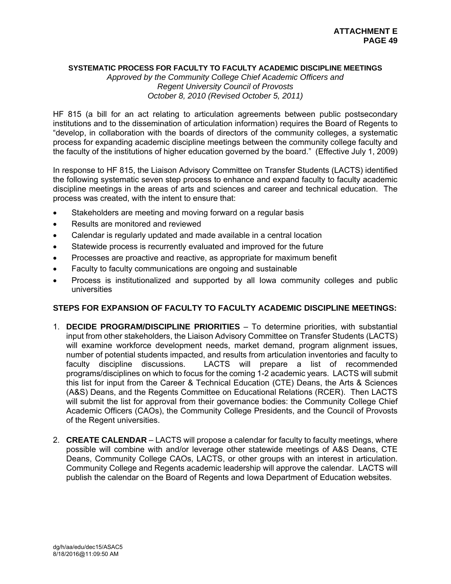#### **SYSTEMATIC PROCESS FOR FACULTY TO FACULTY ACADEMIC DISCIPLINE MEETINGS**

*Approved by the Community College Chief Academic Officers and Regent University Council of Provosts October 8, 2010 (Revised October 5, 2011)* 

HF 815 (a bill for an act relating to articulation agreements between public postsecondary institutions and to the dissemination of articulation information) requires the Board of Regents to "develop, in collaboration with the boards of directors of the community colleges, a systematic process for expanding academic discipline meetings between the community college faculty and the faculty of the institutions of higher education governed by the board." (Effective July 1, 2009)

In response to HF 815, the Liaison Advisory Committee on Transfer Students (LACTS) identified the following systematic seven step process to enhance and expand faculty to faculty academic discipline meetings in the areas of arts and sciences and career and technical education. The process was created, with the intent to ensure that:

- Stakeholders are meeting and moving forward on a regular basis
- Results are monitored and reviewed
- Calendar is regularly updated and made available in a central location
- Statewide process is recurrently evaluated and improved for the future
- Processes are proactive and reactive, as appropriate for maximum benefit
- Faculty to faculty communications are ongoing and sustainable
- Process is institutionalized and supported by all Iowa community colleges and public universities

# **STEPS FOR EXPANSION OF FACULTY TO FACULTY ACADEMIC DISCIPLINE MEETINGS:**

- 1. **DECIDE PROGRAM/DISCIPLINE PRIORITIES** To determine priorities, with substantial input from other stakeholders, the Liaison Advisory Committee on Transfer Students (LACTS) will examine workforce development needs, market demand, program alignment issues, number of potential students impacted, and results from articulation inventories and faculty to faculty discipline discussions. LACTS will prepare a list of recommended programs/disciplines on which to focus for the coming 1-2 academic years. LACTS will submit this list for input from the Career & Technical Education (CTE) Deans, the Arts & Sciences (A&S) Deans, and the Regents Committee on Educational Relations (RCER). Then LACTS will submit the list for approval from their governance bodies: the Community College Chief Academic Officers (CAOs), the Community College Presidents, and the Council of Provosts of the Regent universities.
- 2. **CREATE CALENDAR** LACTS will propose a calendar for faculty to faculty meetings, where possible will combine with and/or leverage other statewide meetings of A&S Deans, CTE Deans, Community College CAOs, LACTS, or other groups with an interest in articulation. Community College and Regents academic leadership will approve the calendar. LACTS will publish the calendar on the Board of Regents and Iowa Department of Education websites.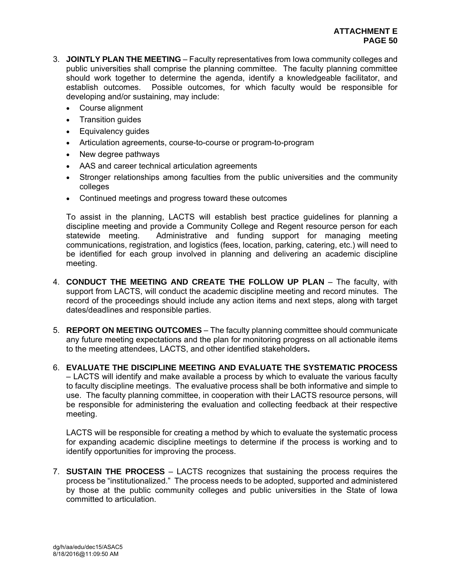- 3. **JOINTLY PLAN THE MEETING** Faculty representatives from Iowa community colleges and public universities shall comprise the planning committee. The faculty planning committee should work together to determine the agenda, identify a knowledgeable facilitator, and establish outcomes. Possible outcomes, for which faculty would be responsible for developing and/or sustaining, may include:
	- Course alignment
	- Transition quides
	- Equivalency guides
	- Articulation agreements, course-to-course or program-to-program
	- New degree pathways
	- AAS and career technical articulation agreements
	- Stronger relationships among faculties from the public universities and the community colleges
	- Continued meetings and progress toward these outcomes

To assist in the planning, LACTS will establish best practice guidelines for planning a discipline meeting and provide a Community College and Regent resource person for each statewide meeting. Administrative and funding support for managing meeting communications, registration, and logistics (fees, location, parking, catering, etc.) will need to be identified for each group involved in planning and delivering an academic discipline meeting.

- 4. **CONDUCT THE MEETING AND CREATE THE FOLLOW UP PLAN** The faculty, with support from LACTS, will conduct the academic discipline meeting and record minutes. The record of the proceedings should include any action items and next steps, along with target dates/deadlines and responsible parties.
- 5. **REPORT ON MEETING OUTCOMES** The faculty planning committee should communicate any future meeting expectations and the plan for monitoring progress on all actionable items to the meeting attendees, LACTS, and other identified stakeholders**.**
- 6. **EVALUATE THE DISCIPLINE MEETING AND EVALUATE THE SYSTEMATIC PROCESS** – LACTS will identify and make available a process by which to evaluate the various faculty to faculty discipline meetings. The evaluative process shall be both informative and simple to use. The faculty planning committee, in cooperation with their LACTS resource persons, will be responsible for administering the evaluation and collecting feedback at their respective meeting.

LACTS will be responsible for creating a method by which to evaluate the systematic process for expanding academic discipline meetings to determine if the process is working and to identify opportunities for improving the process.

7. **SUSTAIN THE PROCESS** – LACTS recognizes that sustaining the process requires the process be "institutionalized." The process needs to be adopted, supported and administered by those at the public community colleges and public universities in the State of Iowa committed to articulation.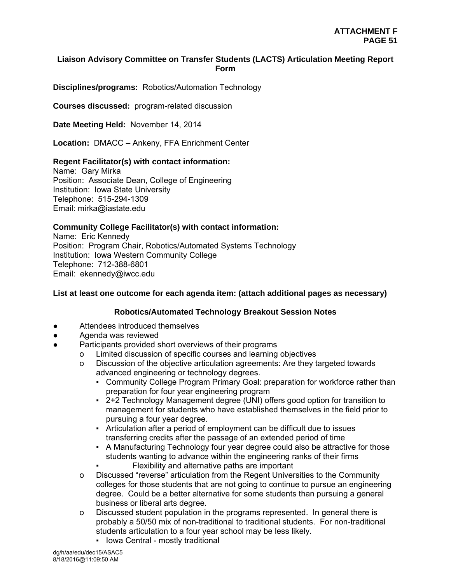# **Liaison Advisory Committee on Transfer Students (LACTS) Articulation Meeting Report Form**

**Disciplines/programs:** Robotics/Automation Technology

**Courses discussed:** program-related discussion

**Date Meeting Held:** November 14, 2014

**Location:** DMACC – Ankeny, FFA Enrichment Center

#### **Regent Facilitator(s) with contact information:**

Name: Gary Mirka Position: Associate Dean, College of Engineering Institution: Iowa State University Telephone: 515-294-1309 Email: mirka@iastate.edu

# **Community College Facilitator(s) with contact information:**

Name: Eric Kennedy Position: Program Chair, Robotics/Automated Systems Technology Institution: Iowa Western Community College Telephone: 712-388-6801 Email: ekennedy@iwcc.edu

#### **List at least one outcome for each agenda item: (attach additional pages as necessary)**

# **Robotics/Automated Technology Breakout Session Notes**

- Attendees introduced themselves
- Agenda was reviewed
- Participants provided short overviews of their programs
	- o Limited discussion of specific courses and learning objectives
	- o Discussion of the objective articulation agreements: Are they targeted towards advanced engineering or technology degrees.
		- Community College Program Primary Goal: preparation for workforce rather than preparation for four year engineering program
		- 2+2 Technology Management degree (UNI) offers good option for transition to management for students who have established themselves in the field prior to pursuing a four year degree.
		- Articulation after a period of employment can be difficult due to issues transferring credits after the passage of an extended period of time
		- A Manufacturing Technology four year degree could also be attractive for those students wanting to advance within the engineering ranks of their firms
			- Flexibility and alternative paths are important
	- o Discussed "reverse" articulation from the Regent Universities to the Community colleges for those students that are not going to continue to pursue an engineering degree. Could be a better alternative for some students than pursuing a general business or liberal arts degree.
	- o Discussed student population in the programs represented. In general there is probably a 50/50 mix of non-traditional to traditional students. For non-traditional students articulation to a four year school may be less likely.
		- **Iowa Central mostly traditional**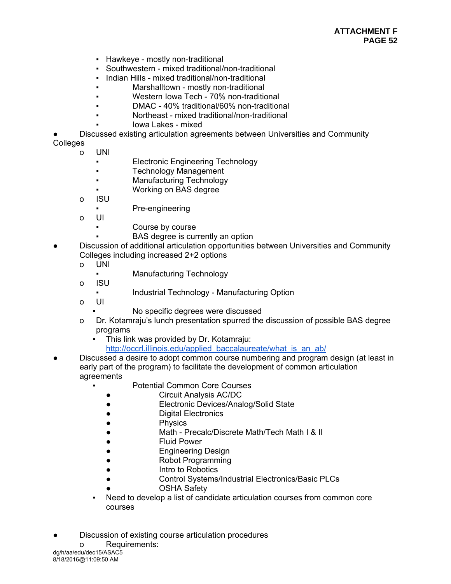- Hawkeye mostly non-traditional
- Southwestern mixed traditional/non-traditional
- **Indian Hills mixed traditional/non-traditional**
- Marshalltown mostly non-traditional
- Western Iowa Tech 70% non-traditional
- DMAC 40% traditional/60% non-traditional
- Northeast mixed traditional/non-traditional
- lowa Lakes mixed
- Discussed existing articulation agreements between Universities and Community

#### Colleges

- o UNI
	- Electronic Engineering Technology
	- **Technology Management**
	- Manufacturing Technology
	- Working on BAS degree
- o ISU
	- Pre-engineering
- o UI
	- Course by course
		- BAS degree is currently an option
- Discussion of additional articulation opportunities between Universities and Community Colleges including increased 2+2 options
	- o UNI
		- Manufacturing Technology
	- o ISU
		- Industrial Technology Manufacturing Option
	- o UI
- No specific degrees were discussed
- o Dr. Kotamraju's lunch presentation spurred the discussion of possible BAS degree programs
	- This link was provided by Dr. Kotamraju: http://occrl.illinois.edu/applied\_baccalaureate/what\_is\_an\_ab/
- Discussed a desire to adopt common course numbering and program design (at least in early part of the program) to facilitate the development of common articulation agreements
	- **Potential Common Core Courses**
	- Circuit Analysis AC/DC
	- Electronic Devices/Analog/Solid State
	- Digital Electronics
	- Physics
	- Math Precalc/Discrete Math/Tech Math I & II
	- **Fluid Power**
	- **Engineering Design**
	- Robot Programming
	- Intro to Robotics
	- Control Systems/Industrial Electronics/Basic PLCs
	- **OSHA Safety**
	- Need to develop a list of candidate articulation courses from common core courses
- Discussion of existing course articulation procedures
- dg/h/aa/edu/dec15/ASAC5 o Requirements: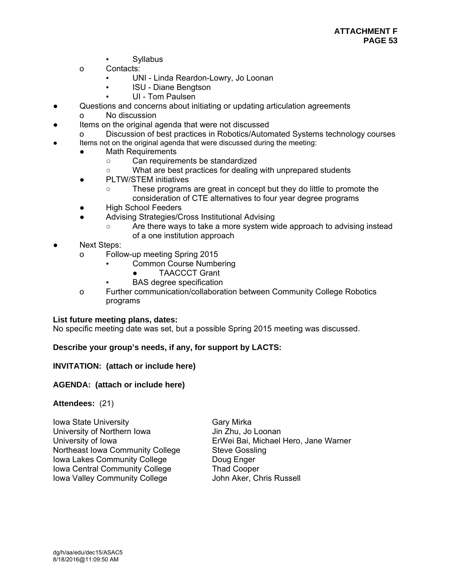- **Syllabus**
- o Contacts:
	- UNI Linda Reardon-Lowry, Jo Loonan
	- **ISU Diane Bengtson**
	- UI Tom Paulsen
- Questions and concerns about initiating or updating articulation agreements
	- o No discussion
- Items on the original agenda that were not discussed
- o Discussion of best practices in Robotics/Automated Systems technology courses
	- Items not on the original agenda that were discussed during the meeting:
	- Math Requirements
		- Can requirements be standardized
		- What are best practices for dealing with unprepared students
		- PLTW/STEM initiatives
			- These programs are great in concept but they do little to promote the consideration of CTE alternatives to four year degree programs
	- High School Feeders
		- Advising Strategies/Cross Institutional Advising
			- Are there ways to take a more system wide approach to advising instead of a one institution approach
- **Next Steps:** 
	- o Follow-up meeting Spring 2015
		- **Common Course Numbering** 
			- TAACCCT Grant
		- **BAS** degree specification
	- o Further communication/collaboration between Community College Robotics programs

#### **List future meeting plans, dates:**

No specific meeting date was set, but a possible Spring 2015 meeting was discussed.

#### **Describe your group's needs, if any, for support by LACTS:**

#### **INVITATION: (attach or include here)**

#### **AGENDA: (attach or include here)**

#### **Attendees:** (21)

**Iowa State University** Gary Mirka University of Northern Iowa Jin Zhu, Jo Loonan Northeast Iowa Community College Steve Gossling Iowa Lakes Community College **Doug Enger** Iowa Central Community College Thad Cooper Iowa Valley Community College John Aker, Chris Russell

University of Iowa ErWei Bai, Michael Hero, Jane Warner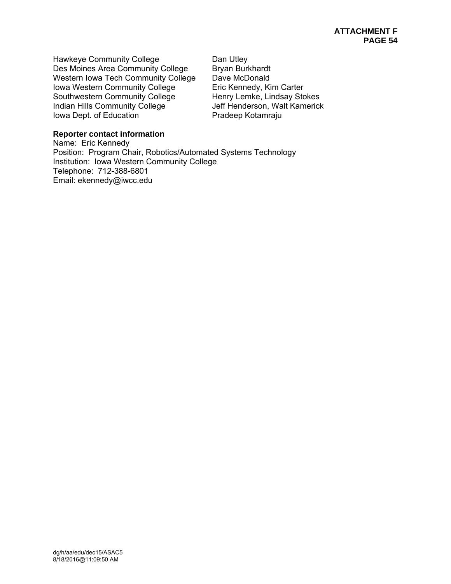Hawkeye Community College **Dan Utley** Des Moines Area Community College Bryan Burkhardt Western Iowa Tech Community College Dave McDonald Iowa Western Community College Eric Kennedy, Kim Carter Southwestern Community College Henry Lemke, Lindsay Stokes Indian Hills Community College Jeff Henderson, Walt Kamerick Iowa Dept. of Education **Pradeep Kotamraju** 

# **Reporter contact information**

Name: Eric Kennedy Position: Program Chair, Robotics/Automated Systems Technology Institution: Iowa Western Community College Telephone: 712-388-6801 Email: ekennedy@iwcc.edu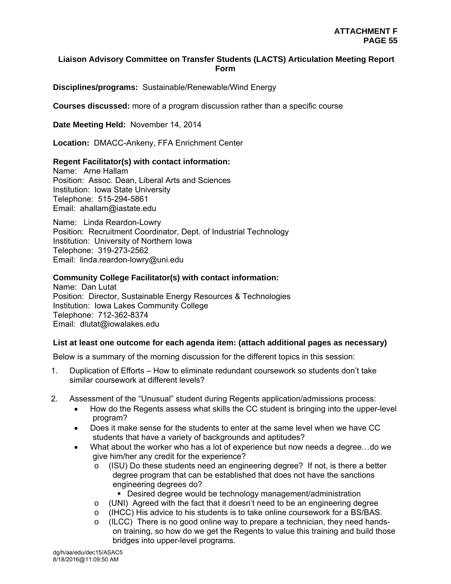# **Liaison Advisory Committee on Transfer Students (LACTS) Articulation Meeting Report Form**

**Disciplines/programs:** Sustainable/Renewable/Wind Energy

**Courses discussed:** more of a program discussion rather than a specific course

**Date Meeting Held:** November 14, 2014

**Location:** DMACC-Ankeny, FFA Enrichment Center

#### **Regent Facilitator(s) with contact information:**

Name: Arne Hallam Position: Assoc. Dean, Liberal Arts and Sciences Institution: Iowa State University Telephone: 515-294-5861 Email: ahallam@iastate.edu

Name: Linda Reardon-Lowry Position: Recruitment Coordinator, Dept. of Industrial Technology Institution: University of Northern Iowa Telephone: 319-273-2562 Email: linda.reardon-lowry@uni.edu

#### **Community College Facilitator(s) with contact information:**

Name: Dan Lutat Position: Director, Sustainable Energy Resources & Technologies Institution: Iowa Lakes Community College Telephone: 712-362-8374 Email: dlutat@iowalakes.edu

#### **List at least one outcome for each agenda item: (attach additional pages as necessary)**

Below is a summary of the morning discussion for the different topics in this session:

- 1. Duplication of Efforts How to eliminate redundant coursework so students don't take similar coursework at different levels?
- 2. Assessment of the "Unusual" student during Regents application/admissions process:
	- How do the Regents assess what skills the CC student is bringing into the upper-level program?
	- Does it make sense for the students to enter at the same level when we have CC students that have a variety of backgrounds and aptitudes?
	- What about the worker who has a lot of experience but now needs a degree…do we give him/her any credit for the experience?
		- o (ISU) Do these students need an engineering degree? If not, is there a better degree program that can be established that does not have the sanctions engineering degrees do?
			- Desired degree would be technology management/administration
		- o (UNI) Agreed with the fact that it doesn't need to be an engineering degree
		- $\circ$  (IHCC) His advice to his students is to take online coursework for a BS/BAS.
		- $\circ$  (ILCC) There is no good online way to prepare a technician, they need handson training, so how do we get the Regents to value this training and build those bridges into upper-level programs.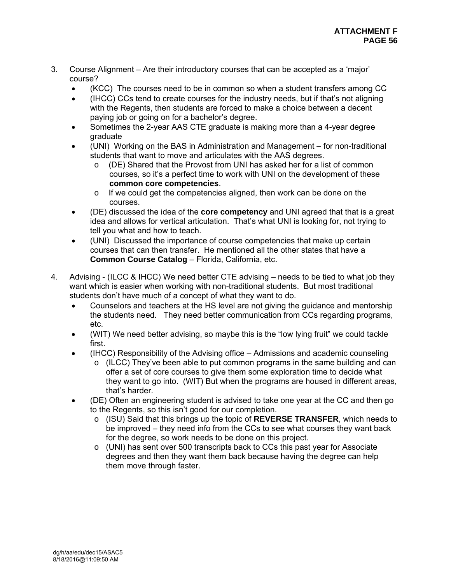- 3. Course Alignment Are their introductory courses that can be accepted as a 'major' course?
	- (KCC) The courses need to be in common so when a student transfers among CC
	- (IHCC) CCs tend to create courses for the industry needs, but if that's not aligning with the Regents, then students are forced to make a choice between a decent paying job or going on for a bachelor's degree.
	- Sometimes the 2-year AAS CTE graduate is making more than a 4-year degree graduate
	- (UNI) Working on the BAS in Administration and Management for non-traditional students that want to move and articulates with the AAS degrees.
		- o (DE) Shared that the Provost from UNI has asked her for a list of common courses, so it's a perfect time to work with UNI on the development of these **common core competencies**.
		- o If we could get the competencies aligned, then work can be done on the courses.
	- (DE) discussed the idea of the **core competency** and UNI agreed that that is a great idea and allows for vertical articulation. That's what UNI is looking for, not trying to tell you what and how to teach.
	- (UNI) Discussed the importance of course competencies that make up certain courses that can then transfer. He mentioned all the other states that have a **Common Course Catalog** – Florida, California, etc.
- 4. Advising (ILCC & IHCC) We need better CTE advising needs to be tied to what job they want which is easier when working with non-traditional students. But most traditional students don't have much of a concept of what they want to do.
	- Counselors and teachers at the HS level are not giving the guidance and mentorship the students need. They need better communication from CCs regarding programs, etc.
	- (WIT) We need better advising, so maybe this is the "low lying fruit" we could tackle first.
	- (IHCC) Responsibility of the Advising office Admissions and academic counseling
		- $\circ$  (ILCC) They've been able to put common programs in the same building and can offer a set of core courses to give them some exploration time to decide what they want to go into. (WIT) But when the programs are housed in different areas, that's harder.
	- (DE) Often an engineering student is advised to take one year at the CC and then go to the Regents, so this isn't good for our completion.
		- o (ISU) Said that this brings up the topic of **REVERSE TRANSFER**, which needs to be improved – they need info from the CCs to see what courses they want back for the degree, so work needs to be done on this project.
		- $\circ$  (UNI) has sent over 500 transcripts back to CCs this past year for Associate degrees and then they want them back because having the degree can help them move through faster.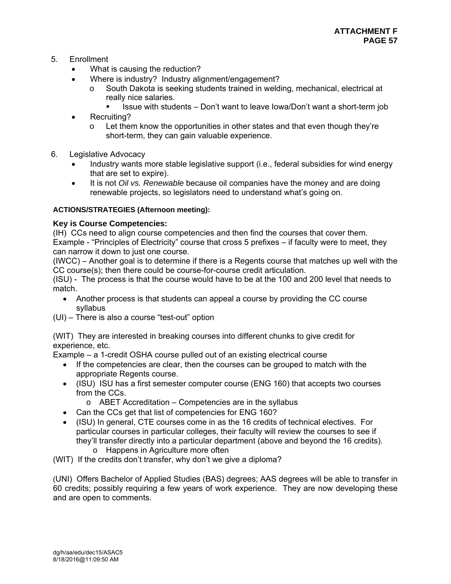- 5. Enrollment
	- What is causing the reduction?
	- Where is industry? Industry alignment/engagement?
		- o South Dakota is seeking students trained in welding, mechanical, electrical at really nice salaries.
			- Issue with students Don't want to leave Iowa/Don't want a short-term job
	- Recruiting?
		- $\circ$  Let them know the opportunities in other states and that even though they're short-term, they can gain valuable experience.
- 6. Legislative Advocacy
	- Industry wants more stable legislative support (i.e., federal subsidies for wind energy that are set to expire).
	- It is not *Oil vs. Renewable* because oil companies have the money and are doing renewable projects, so legislators need to understand what's going on.

# **ACTIONS/STRATEGIES (Afternoon meeting):**

# **Key is Course Competencies:**

(IH) CCs need to align course competencies and then find the courses that cover them. Example - "Principles of Electricity" course that cross 5 prefixes – if faculty were to meet, they can narrow it down to just one course.

(IWCC) – Another goal is to determine if there is a Regents course that matches up well with the CC course(s); then there could be course-for-course credit articulation.

(ISU) - The process is that the course would have to be at the 100 and 200 level that needs to match.

- Another process is that students can appeal a course by providing the CC course syllabus
- (UI) There is also a course "test-out" option

(WIT) They are interested in breaking courses into different chunks to give credit for experience, etc.

Example – a 1-credit OSHA course pulled out of an existing electrical course

- If the competencies are clear, then the courses can be grouped to match with the appropriate Regents course.
- (ISU) ISU has a first semester computer course (ENG 160) that accepts two courses from the CCs.
	- $\circ$  ABET Accreditation Competencies are in the syllabus
- Can the CCs get that list of competencies for ENG 160?
- (ISU) In general, CTE courses come in as the 16 credits of technical electives. For particular courses in particular colleges, their faculty will review the courses to see if they'll transfer directly into a particular department (above and beyond the 16 credits). o Happens in Agriculture more often
- (WIT) If the credits don't transfer, why don't we give a diploma?

(UNI) Offers Bachelor of Applied Studies (BAS) degrees; AAS degrees will be able to transfer in 60 credits; possibly requiring a few years of work experience. They are now developing these and are open to comments.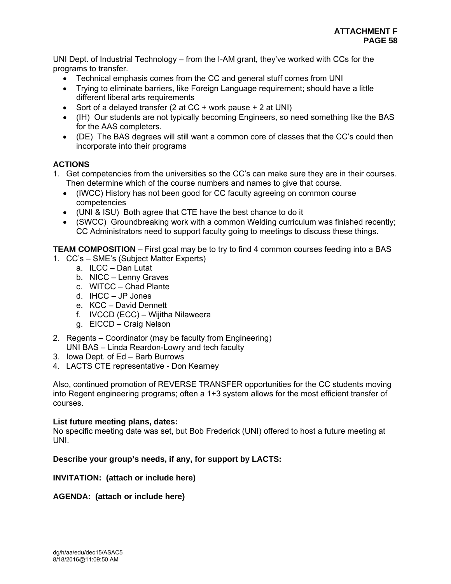UNI Dept. of Industrial Technology – from the I-AM grant, they've worked with CCs for the programs to transfer.

- Technical emphasis comes from the CC and general stuff comes from UNI
- Trying to eliminate barriers, like Foreign Language requirement; should have a little different liberal arts requirements
- Sort of a delayed transfer (2 at  $CC + work$  pause  $+ 2$  at UNI)
- (IH) Our students are not typically becoming Engineers, so need something like the BAS for the AAS completers.
- (DE) The BAS degrees will still want a common core of classes that the CC's could then incorporate into their programs

# **ACTIONS**

- 1. Get competencies from the universities so the CC's can make sure they are in their courses. Then determine which of the course numbers and names to give that course.
	- (IWCC) History has not been good for CC faculty agreeing on common course competencies
	- (UNI & ISU) Both agree that CTE have the best chance to do it
	- (SWCC) Groundbreaking work with a common Welding curriculum was finished recently; CC Administrators need to support faculty going to meetings to discuss these things.

**TEAM COMPOSITION** – First goal may be to try to find 4 common courses feeding into a BAS

- 1. CC's SME's (Subject Matter Experts)
	- a. ILCC Dan Lutat
	- b. NICC Lenny Graves
	- c. WITCC Chad Plante
	- d. IHCC JP Jones
	- e. KCC David Dennett
	- f. IVCCD (ECC) Wijitha Nilaweera
	- g. EICCD Craig Nelson
- 2. Regents Coordinator (may be faculty from Engineering) UNI BAS – Linda Reardon-Lowry and tech faculty
- 3. Iowa Dept. of Ed Barb Burrows
- 4. LACTS CTE representative Don Kearney

Also, continued promotion of REVERSE TRANSFER opportunities for the CC students moving into Regent engineering programs; often a 1+3 system allows for the most efficient transfer of courses.

#### **List future meeting plans, dates:**

No specific meeting date was set, but Bob Frederick (UNI) offered to host a future meeting at UNI.

# **Describe your group's needs, if any, for support by LACTS:**

# **INVITATION: (attach or include here)**

# **AGENDA: (attach or include here)**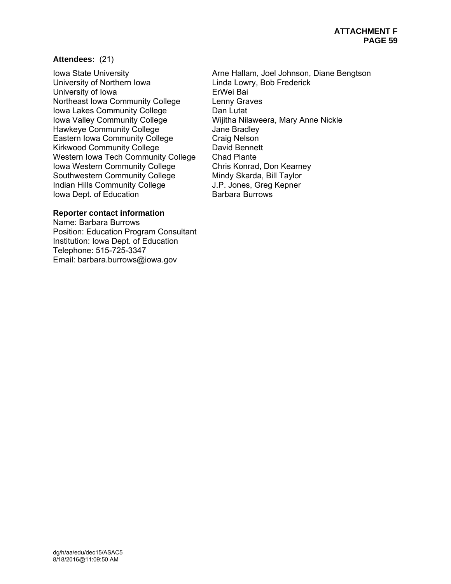#### **Attendees:** (21)

University of Northern Iowa **Linda Lowry, Bob Frederick** University of Iowa **ErWei Bai** Northeast Iowa Community College Lenny Graves Iowa Lakes Community College Dan Lutat Iowa Valley Community College Wijitha Nilaweera, Mary Anne Nickle Hawkeye Community College **Figure 3** Jane Bradley Eastern Iowa Community College Craig Nelson<br>
Kirkwood Community College Conservation David Bennett Kirkwood Community College Western Iowa Tech Community College Chad Plante<br>Iowa Western Community College Chris Konrad, Don Kearney Iowa Western Community College Southwestern Community College Mindy Skarda, Bill Taylor Indian Hills Community College J.P. Jones, Greg Kepner Iowa Dept. of Education Barbara Burrows

# **Reporter contact information**

Name: Barbara Burrows Position: Education Program Consultant Institution: Iowa Dept. of Education Telephone: 515-725-3347 Email: barbara.burrows@iowa.gov

Iowa State University **Arne Hallam, Joel Johnson, Diane Bengtson**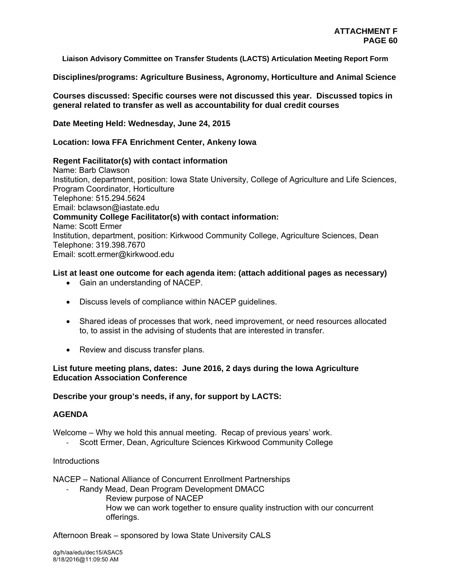**Liaison Advisory Committee on Transfer Students (LACTS) Articulation Meeting Report Form** 

**Disciplines/programs: Agriculture Business, Agronomy, Horticulture and Animal Science** 

**Courses discussed: Specific courses were not discussed this year. Discussed topics in general related to transfer as well as accountability for dual credit courses** 

**Date Meeting Held: Wednesday, June 24, 2015**

#### **Location: Iowa FFA Enrichment Center, Ankeny Iowa**

#### **Regent Facilitator(s) with contact information**

Name: Barb Clawson Institution, department, position: Iowa State University, College of Agriculture and Life Sciences, Program Coordinator, Horticulture Telephone: 515.294.5624 Email: bclawson@iastate.edu **Community College Facilitator(s) with contact information:**  Name: Scott Ermer Institution, department, position: Kirkwood Community College, Agriculture Sciences, Dean Telephone: 319.398.7670 Email: scott.ermer@kirkwood.edu

#### **List at least one outcome for each agenda item: (attach additional pages as necessary)**

- Gain an understanding of NACEP.
- Discuss levels of compliance within NACEP guidelines.
- Shared ideas of processes that work, need improvement, or need resources allocated to, to assist in the advising of students that are interested in transfer.
- Review and discuss transfer plans.

#### **List future meeting plans, dates: June 2016, 2 days during the Iowa Agriculture Education Association Conference**

#### **Describe your group's needs, if any, for support by LACTS:**

# **AGENDA**

Welcome – Why we hold this annual meeting. Recap of previous years' work.

Scott Ermer, Dean, Agriculture Sciences Kirkwood Community College

#### **Introductions**

NACEP – National Alliance of Concurrent Enrollment Partnerships

- ‐ Randy Mead, Dean Program Development DMACC
	- Review purpose of NACEP How we can work together to ensure quality instruction with our concurrent offerings.

Afternoon Break – sponsored by Iowa State University CALS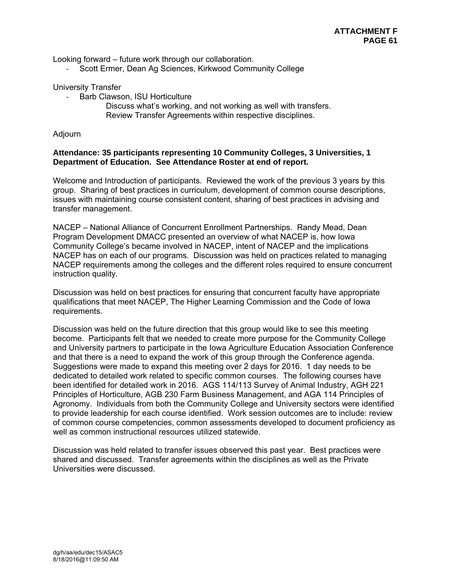Looking forward – future work through our collaboration.

Scott Ermer, Dean Ag Sciences, Kirkwood Community College

University Transfer

- ‐ Barb Clawson, ISU Horticulture
	- Discuss what's working, and not working as well with transfers. Review Transfer Agreements within respective disciplines.

Adjourn

#### **Attendance: 35 participants representing 10 Community Colleges, 3 Universities, 1 Department of Education. See Attendance Roster at end of report.**

Welcome and Introduction of participants. Reviewed the work of the previous 3 years by this group. Sharing of best practices in curriculum, development of common course descriptions, issues with maintaining course consistent content, sharing of best practices in advising and transfer management.

NACEP – National Alliance of Concurrent Enrollment Partnerships. Randy Mead, Dean Program Development DMACC presented an overview of what NACEP is, how Iowa Community College's became involved in NACEP, intent of NACEP and the implications NACEP has on each of our programs. Discussion was held on practices related to managing NACEP requirements among the colleges and the different roles required to ensure concurrent instruction quality.

Discussion was held on best practices for ensuring that concurrent faculty have appropriate qualifications that meet NACEP, The Higher Learning Commission and the Code of Iowa requirements.

Discussion was held on the future direction that this group would like to see this meeting become. Participants felt that we needed to create more purpose for the Community College and University partners to participate in the Iowa Agriculture Education Association Conference and that there is a need to expand the work of this group through the Conference agenda. Suggestions were made to expand this meeting over 2 days for 2016. 1 day needs to be dedicated to detailed work related to specific common courses. The following courses have been identified for detailed work in 2016. AGS 114/113 Survey of Animal Industry, AGH 221 Principles of Horticulture, AGB 230 Farm Business Management, and AGA 114 Principles of Agronomy. Individuals from both the Community College and University sectors were identified to provide leadership for each course identified. Work session outcomes are to include: review of common course competencies, common assessments developed to document proficiency as well as common instructional resources utilized statewide.

Discussion was held related to transfer issues observed this past year. Best practices were shared and discussed. Transfer agreements within the disciplines as well as the Private Universities were discussed.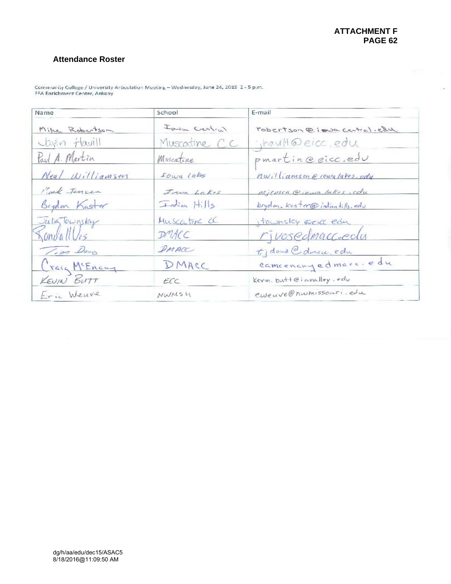$\mathcal{C}(\mathfrak{g})$ 

# **Attendance Roster**

| Name            | School        | E-mail                         |
|-----------------|---------------|--------------------------------|
| Mike Robertson  | Ionia Certial | robertson @ iowa central.edu   |
| Jaylin Havill   | Muscatine CC  | : havill@eicc, edu             |
| Paul A. Martin  | Muscatine     | pmartin@eicc.edu               |
| Neal Williamsen | I own Lakes   | nwilliamson e rowatakes-edy    |
| Park Jensen     | Joua Lakes    | Michsen @ idwa lakes, edu      |
| Bigdon Kaster   | Frodian Hills | brydon, kaster@indianhills.edu |
| Julia Townsky   | Muscatine CC. | itownsley acid edu             |
| KandallVes      | DMAC          | rivosedmaccoeclu               |
| Tim Dows        | DMACC         | tjdoud@dinne, edu              |
| Craig McEnany   | DMACC         | camcenanyedmacc.edu            |
| KEUIN BUTT      | ECC           | Kevin. but leiavalley. edu     |
| Eric Weuve      | <b>NWMSH</b>  | ewenve@nwmissouri.edu          |

Community College / University Articulation Meeting - Wednesday, June 24, 2015 2 - 5 p.m.<br>FFA Enrichment Center, Ankeny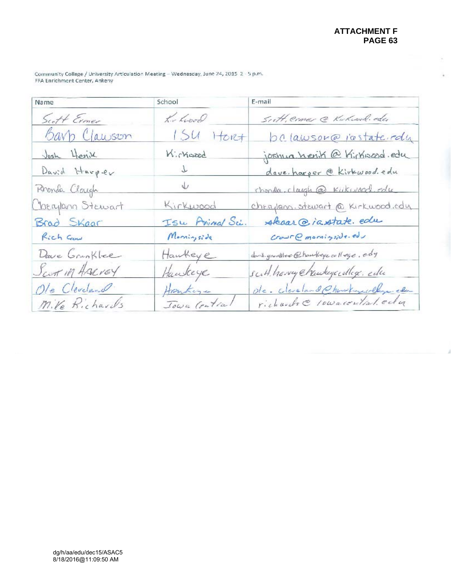$\sim$ 

 $\epsilon$ 

Community College / University Articulation Meeting - Wednesday, June 24, 2015 2 - 5 p.m.<br>FFA Enrichment Center, Ankeny

| Name                | School          | E-mail                             |
|---------------------|-----------------|------------------------------------|
| Scott Ermer         | his hood        | Sutt, ermer @ Kukwol. edu          |
| <u>Barb Clawson</u> | 15u<br>Horef    | belawson@jastateredy               |
| Josh Herik          | Kirkwood        | joshua herik @ Kirkisard.edu       |
| David Harper        | $\mathcal{T}$   | dave. harper @ Kirkwood. edu       |
| Rhonda Claugh       | $\sqrt{2}$      | chonda. claugh @ Kiikwood. edu     |
| Cherylann Stewart   | Kirkwood        | cheaplann. stewart @ Kirkwood.edu  |
| Brad Skaar          | Isu Animal Sci. | skaar@iastate.edu                  |
| Rich Gow            | Morningside     | CourC moving side                  |
| Dave Grunklee       | Hawkeye         | dans grundles @howkeys college.edy |
| Scott in AARVEY     | Hawkeye         | suit have energedlege de           |
| Ole Cleveland       | Honkeye         | de . classion Ohmburguelly el      |
| Mile Richards       | Jowa Centra     | richards @ 10warential.edu         |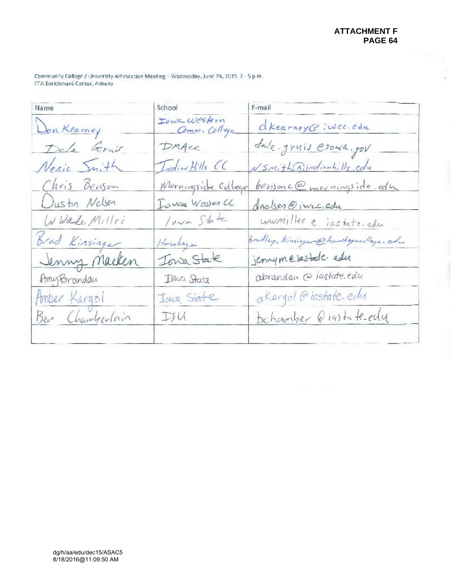$\bar{\sigma}$  $\frac{1}{\sqrt{2}}$ 

Community College / University Articulation Meeting - Wednesday, June 24, 2015 2 - 5 p.m.<br>FFA Enrichment Center, Ankeny

| Name            | School                        | E-mail                                 |
|-----------------|-------------------------------|----------------------------------------|
| Don Kearney     | Iowa Western<br>Comm. College | dkearney@jwcc.edu                      |
| Dele Gruit      | DMAec                         | fale-gruis Crown.gov                   |
| Neric Smith     | Indian Hills CC               | NSMith Dindianhills.cdu                |
| Chris Benson    | Murningside College           | bensonc@movingside.edu                 |
| Dustin Nolsen   | Iowa Waster CC                | dinclses @ incc.edu                    |
| WWade Millei    | Your State                    | unumiller e iastate.edu                |
| Brad Kinsinger  | Howkaye                       | bradley, Kinsinger @haskeyees/lage-ed- |
| Jenny Macken    | Tong State                    | jennymejastate edu                     |
| AmyBrandau      | Iowa State                    | abrandau @ jastate.edu                 |
| Amber Kargol    | Jour State                    | a Kargol @iastate. edu                 |
| Ber Chamberlain | IJM                           | Dchamber @iastate-edg                  |
|                 |                               |                                        |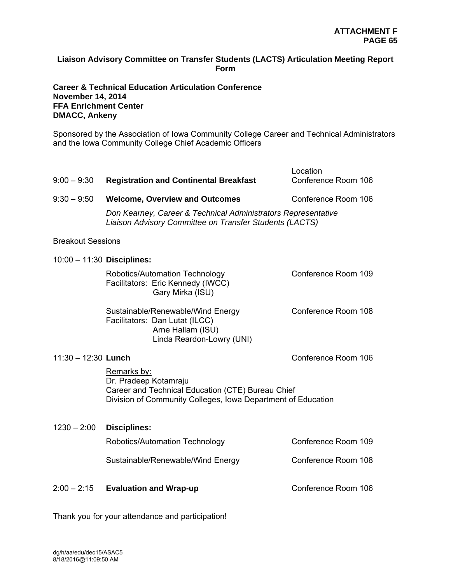# **Liaison Advisory Committee on Transfer Students (LACTS) Articulation Meeting Report Form**

# **Career & Technical Education Articulation Conference November 14, 2014 FFA Enrichment Center DMACC, Ankeny**

Sponsored by the Association of Iowa Community College Career and Technical Administrators and the Iowa Community College Chief Academic Officers

| $9:00 - 9:30$                | <b>Registration and Continental Breakfast</b>                                                                                                             | Location<br>Conference Room 106 |  |
|------------------------------|-----------------------------------------------------------------------------------------------------------------------------------------------------------|---------------------------------|--|
| $9:30 - 9:50$                | <b>Welcome, Overview and Outcomes</b><br>Don Kearney, Career & Technical Administrators Representative                                                    | Conference Room 106             |  |
| <b>Breakout Sessions</b>     | Liaison Advisory Committee on Transfer Students (LACTS)                                                                                                   |                                 |  |
| $10:00 - 11:30$ Disciplines: |                                                                                                                                                           |                                 |  |
|                              | Robotics/Automation Technology<br>Facilitators: Eric Kennedy (IWCC)<br>Gary Mirka (ISU)                                                                   | Conference Room 109             |  |
|                              | Sustainable/Renewable/Wind Energy<br>Facilitators: Dan Lutat (ILCC)<br>Arne Hallam (ISU)<br>Linda Reardon-Lowry (UNI)                                     | Conference Room 108             |  |
| $11:30 - 12:30$ Lunch        |                                                                                                                                                           | Conference Room 106             |  |
|                              | Remarks by:<br>Dr. Pradeep Kotamraju<br>Career and Technical Education (CTE) Bureau Chief<br>Division of Community Colleges, Iowa Department of Education |                                 |  |
| $1230 - 2:00$                | <b>Disciplines:</b>                                                                                                                                       |                                 |  |
|                              | Robotics/Automation Technology                                                                                                                            | Conference Room 109             |  |
|                              | Sustainable/Renewable/Wind Energy                                                                                                                         | Conference Room 108             |  |
| $2:00 - 2:15$                | <b>Evaluation and Wrap-up</b>                                                                                                                             | Conference Room 106             |  |

Thank you for your attendance and participation!